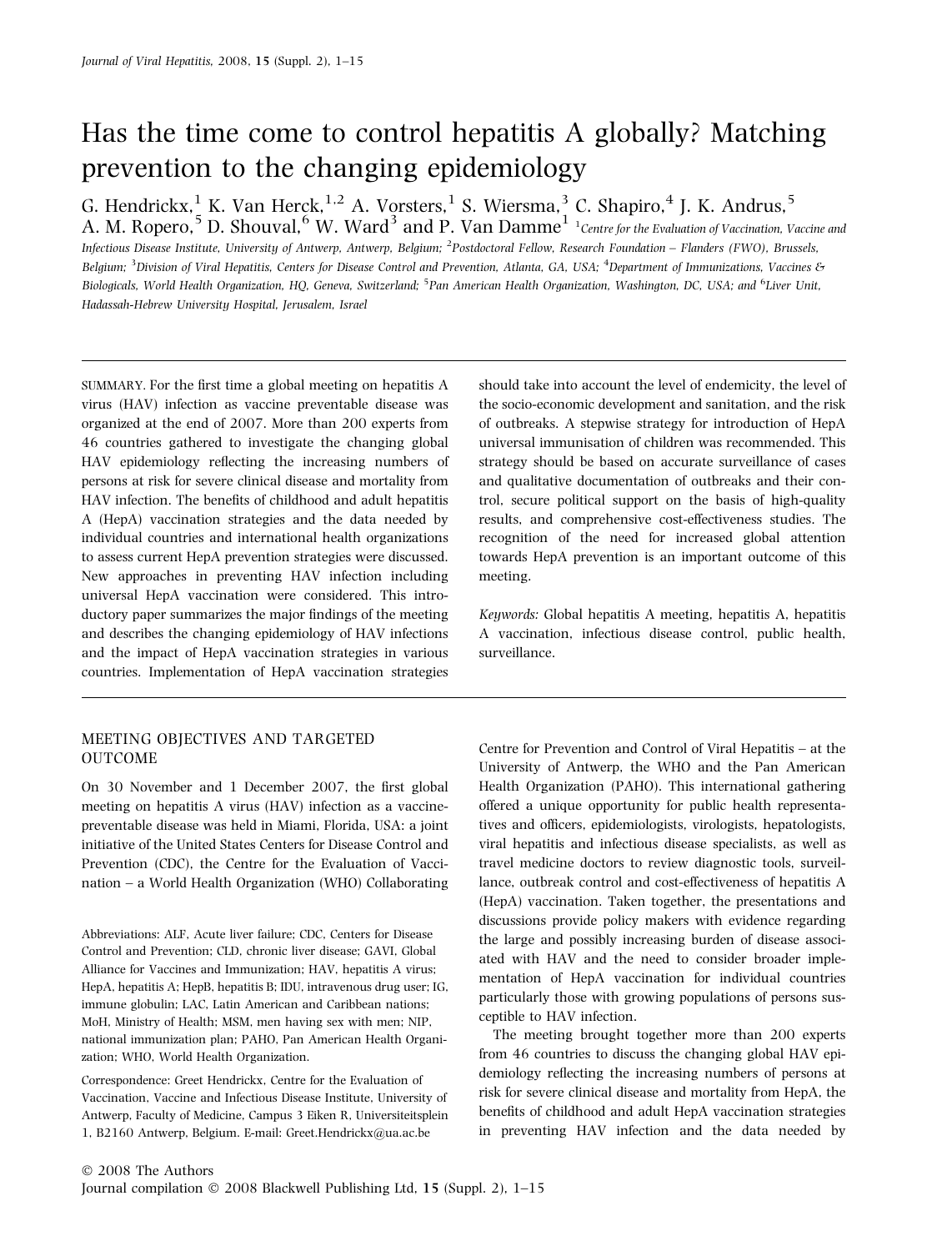# Has the time come to control hepatitis A globally? Matching prevention to the changing epidemiology

G. Hendrickx, $\frac{1}{2}$  K. Van Herck, $\frac{1}{2}$  A. Vorsters, $\frac{1}{2}$  S. Wiersma, $\frac{3}{2}$  C. Shapiro, $\frac{4}{7}$  J. K. Andrus,  $\frac{5}{2}$ A. M. Ropero,<sup>5</sup> D. Shouval,<sup>6</sup> W. Ward<sup>3</sup> and P. Van Damme<sup>1</sup> <sup>1</sup> Centre for the Evaluation of Vaccination, Vaccine and Infectious Disease Institute, University of Antwerp, Antwerp, Belgium; <sup>2</sup>Postdoctoral Fellow, Research Foundation - Flanders (FWO), Brussels, Belgium; <sup>3</sup>Division of Viral Hepatitis, Centers for Disease Control and Prevention, Atlanta, GA, USA; <sup>4</sup>Department of Immunizations, Vaccines & Biologicals, World Health Organization, HQ, Geneva, Switzerland; <sup>5</sup>Pan American Health Organization, Washington, DC, USA; and <sup>6</sup>Liver Unit, Hadassah-Hebrew University Hospital, Jerusalem, Israel

SUMMARY. For the first time a global meeting on hepatitis A virus (HAV) infection as vaccine preventable disease was organized at the end of 2007. More than 200 experts from 46 countries gathered to investigate the changing global HAV epidemiology reflecting the increasing numbers of persons at risk for severe clinical disease and mortality from HAV infection. The benefits of childhood and adult hepatitis A (HepA) vaccination strategies and the data needed by individual countries and international health organizations to assess current HepA prevention strategies were discussed. New approaches in preventing HAV infection including universal HepA vaccination were considered. This introductory paper summarizes the major findings of the meeting and describes the changing epidemiology of HAV infections and the impact of HepA vaccination strategies in various countries. Implementation of HepA vaccination strategies

# MEETING OBJECTIVES AND TARGETED OUTCOME

On 30 November and 1 December 2007, the first global meeting on hepatitis A virus (HAV) infection as a vaccinepreventable disease was held in Miami, Florida, USA: a joint initiative of the United States Centers for Disease Control and Prevention (CDC), the Centre for the Evaluation of Vaccination – a World Health Organization (WHO) Collaborating

Abbreviations: ALF, Acute liver failure; CDC, Centers for Disease Control and Prevention; CLD, chronic liver disease; GAVI, Global Alliance for Vaccines and Immunization; HAV, hepatitis A virus; HepA, hepatitis A; HepB, hepatitis B; IDU, intravenous drug user; IG, immune globulin; LAC, Latin American and Caribbean nations; MoH, Ministry of Health; MSM, men having sex with men; NIP, national immunization plan; PAHO, Pan American Health Organization; WHO, World Health Organization.

Correspondence: Greet Hendrickx, Centre for the Evaluation of Vaccination, Vaccine and Infectious Disease Institute, University of Antwerp, Faculty of Medicine, Campus 3 Eiken R, Universiteitsplein 1, B2160 Antwerp, Belgium. E-mail: Greet.Hendrickx@ua.ac.be

should take into account the level of endemicity, the level of the socio-economic development and sanitation, and the risk of outbreaks. A stepwise strategy for introduction of HepA universal immunisation of children was recommended. This strategy should be based on accurate surveillance of cases and qualitative documentation of outbreaks and their control, secure political support on the basis of high-quality results, and comprehensive cost-effectiveness studies. The recognition of the need for increased global attention towards HepA prevention is an important outcome of this meeting.

Keywords: Global hepatitis A meeting, hepatitis A, hepatitis A vaccination, infectious disease control, public health, surveillance.

Centre for Prevention and Control of Viral Hepatitis – at the University of Antwerp, the WHO and the Pan American Health Organization (PAHO). This international gathering offered a unique opportunity for public health representatives and officers, epidemiologists, virologists, hepatologists, viral hepatitis and infectious disease specialists, as well as travel medicine doctors to review diagnostic tools, surveillance, outbreak control and cost-effectiveness of hepatitis A (HepA) vaccination. Taken together, the presentations and discussions provide policy makers with evidence regarding the large and possibly increasing burden of disease associated with HAV and the need to consider broader implementation of HepA vaccination for individual countries particularly those with growing populations of persons susceptible to HAV infection.

The meeting brought together more than 200 experts from 46 countries to discuss the changing global HAV epidemiology reflecting the increasing numbers of persons at risk for severe clinical disease and mortality from HepA, the benefits of childhood and adult HepA vaccination strategies in preventing HAV infection and the data needed by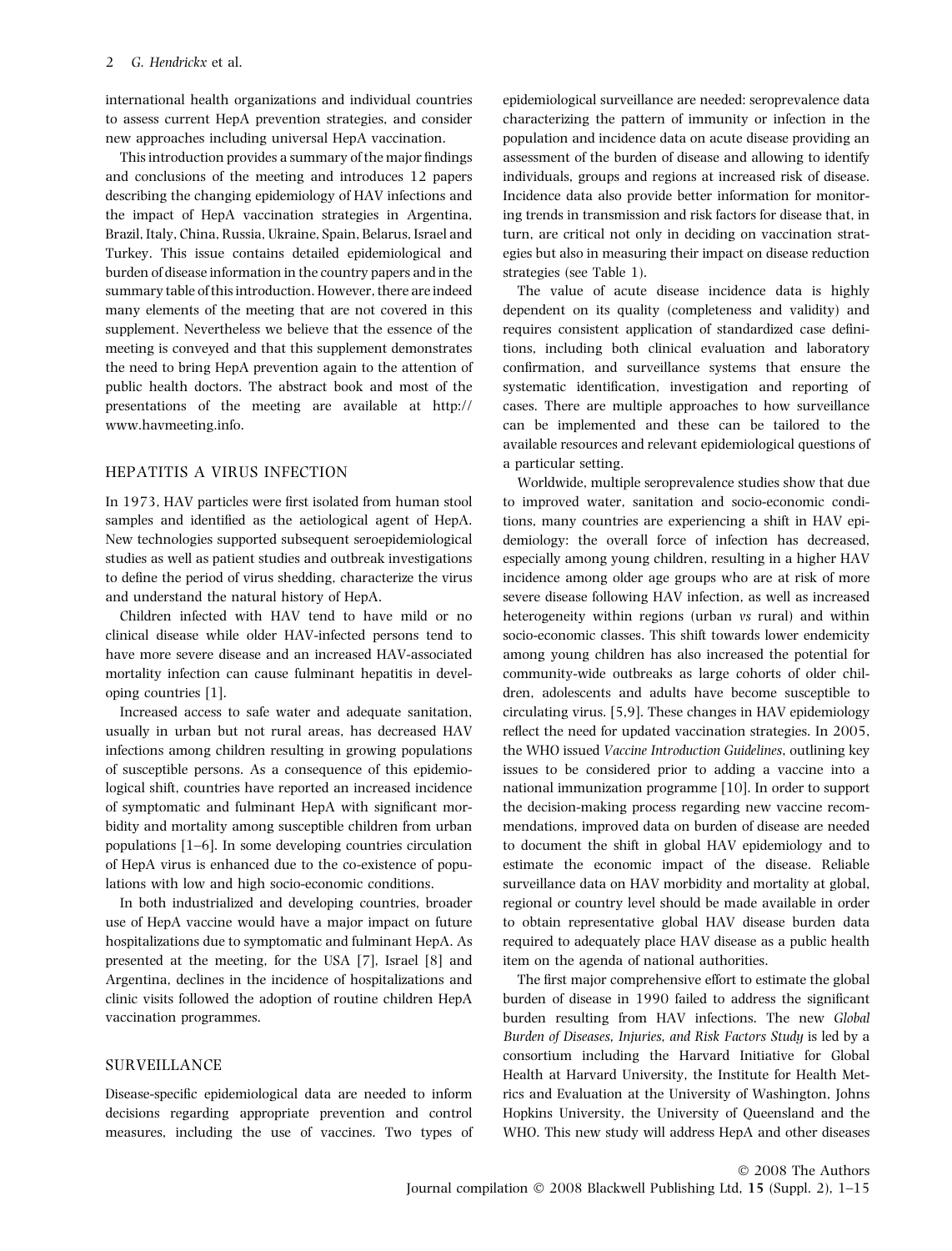international health organizations and individual countries to assess current HepA prevention strategies, and consider new approaches including universal HepA vaccination.

This introduction provides a summary of the major findings and conclusions of the meeting and introduces 12 papers describing the changing epidemiology of HAV infections and the impact of HepA vaccination strategies in Argentina, Brazil, Italy, China, Russia, Ukraine, Spain, Belarus, Israel and Turkey. This issue contains detailed epidemiological and burden of disease information in the country papers and in the summary table of this introduction. However, there are indeed many elements of the meeting that are not covered in this supplement. Nevertheless we believe that the essence of the meeting is conveyed and that this supplement demonstrates the need to bring HepA prevention again to the attention of public health doctors. The abstract book and most of the presentations of the meeting are available at http:// www.havmeeting.info.

## HEPATITIS A VIRUS INFECTION

In 1973, HAV particles were first isolated from human stool samples and identified as the aetiological agent of HepA. New technologies supported subsequent seroepidemiological studies as well as patient studies and outbreak investigations to define the period of virus shedding, characterize the virus and understand the natural history of HepA.

Children infected with HAV tend to have mild or no clinical disease while older HAV-infected persons tend to have more severe disease and an increased HAV-associated mortality infection can cause fulminant hepatitis in developing countries [1].

Increased access to safe water and adequate sanitation, usually in urban but not rural areas, has decreased HAV infections among children resulting in growing populations of susceptible persons. As a consequence of this epidemiological shift, countries have reported an increased incidence of symptomatic and fulminant HepA with significant morbidity and mortality among susceptible children from urban populations [1–6]. In some developing countries circulation of HepA virus is enhanced due to the co-existence of populations with low and high socio-economic conditions.

In both industrialized and developing countries, broader use of HepA vaccine would have a major impact on future hospitalizations due to symptomatic and fulminant HepA. As presented at the meeting, for the USA [7], Israel [8] and Argentina, declines in the incidence of hospitalizations and clinic visits followed the adoption of routine children HepA vaccination programmes.

## SURVEILLANCE

Disease-specific epidemiological data are needed to inform decisions regarding appropriate prevention and control measures, including the use of vaccines. Two types of epidemiological surveillance are needed: seroprevalence data characterizing the pattern of immunity or infection in the population and incidence data on acute disease providing an assessment of the burden of disease and allowing to identify individuals, groups and regions at increased risk of disease. Incidence data also provide better information for monitoring trends in transmission and risk factors for disease that, in turn, are critical not only in deciding on vaccination strategies but also in measuring their impact on disease reduction strategies (see Table 1).

The value of acute disease incidence data is highly dependent on its quality (completeness and validity) and requires consistent application of standardized case definitions, including both clinical evaluation and laboratory confirmation, and surveillance systems that ensure the systematic identification, investigation and reporting of cases. There are multiple approaches to how surveillance can be implemented and these can be tailored to the available resources and relevant epidemiological questions of a particular setting.

Worldwide, multiple seroprevalence studies show that due to improved water, sanitation and socio-economic conditions, many countries are experiencing a shift in HAV epidemiology: the overall force of infection has decreased, especially among young children, resulting in a higher HAV incidence among older age groups who are at risk of more severe disease following HAV infection, as well as increased heterogeneity within regions (urban vs rural) and within socio-economic classes. This shift towards lower endemicity among young children has also increased the potential for community-wide outbreaks as large cohorts of older children, adolescents and adults have become susceptible to circulating virus. [5,9]. These changes in HAV epidemiology reflect the need for updated vaccination strategies. In 2005, the WHO issued Vaccine Introduction Guidelines, outlining key issues to be considered prior to adding a vaccine into a national immunization programme [10]. In order to support the decision-making process regarding new vaccine recommendations, improved data on burden of disease are needed to document the shift in global HAV epidemiology and to estimate the economic impact of the disease. Reliable surveillance data on HAV morbidity and mortality at global, regional or country level should be made available in order to obtain representative global HAV disease burden data required to adequately place HAV disease as a public health item on the agenda of national authorities.

The first major comprehensive effort to estimate the global burden of disease in 1990 failed to address the significant burden resulting from HAV infections. The new Global Burden of Diseases, Injuries, and Risk Factors Study is led by a consortium including the Harvard Initiative for Global Health at Harvard University, the Institute for Health Metrics and Evaluation at the University of Washington, Johns Hopkins University, the University of Queensland and the WHO. This new study will address HepA and other diseases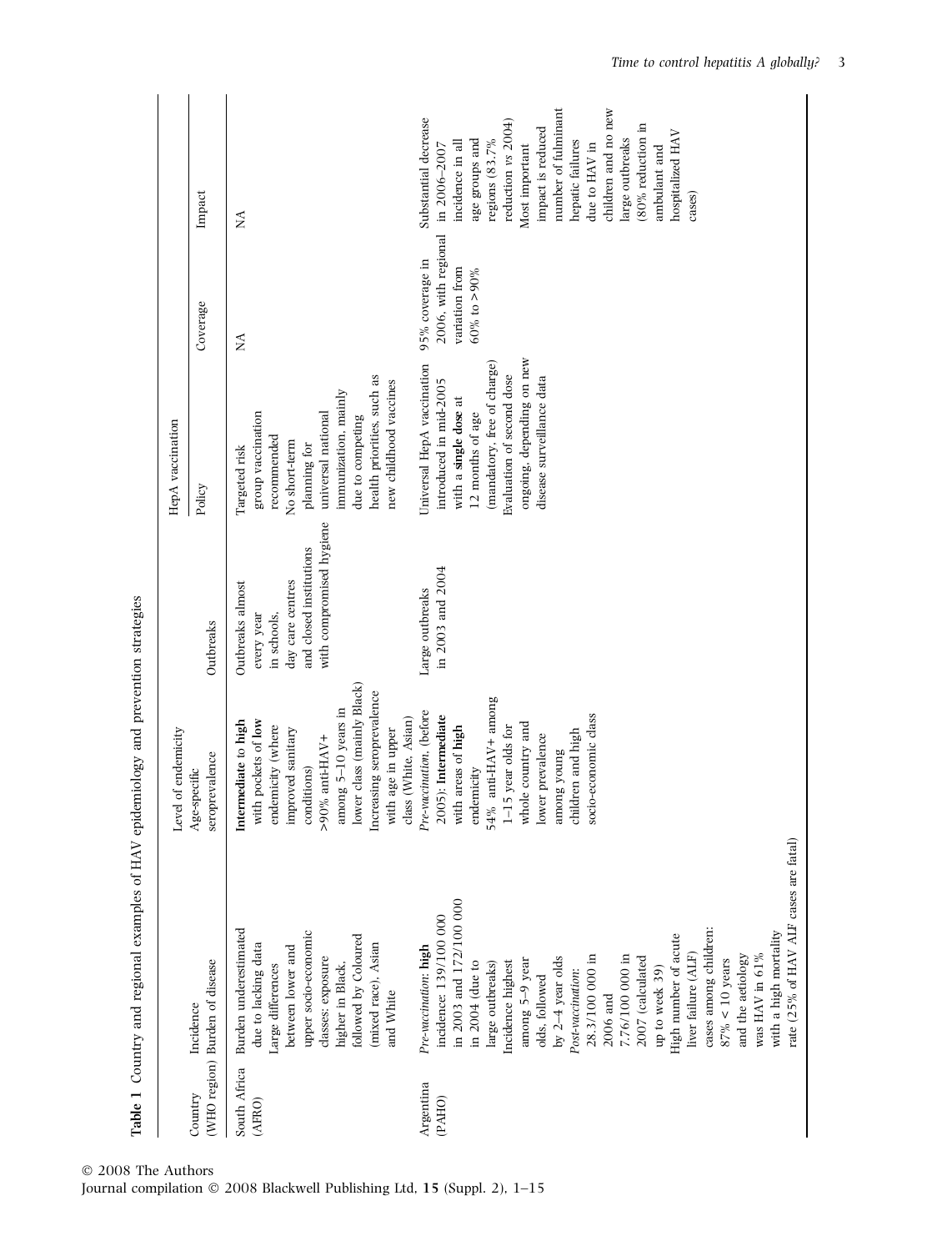|                        |                                                                                                                                                                                                                                                                                                                                                                                         | l of endemicity<br>Level                                                                                                                                                                                                                        |                                                                                                                          | HepA vaccination                                                                                                                                                                                                        |                                                                            |                                                                                                                                                                                                                                                                                                                                        |
|------------------------|-----------------------------------------------------------------------------------------------------------------------------------------------------------------------------------------------------------------------------------------------------------------------------------------------------------------------------------------------------------------------------------------|-------------------------------------------------------------------------------------------------------------------------------------------------------------------------------------------------------------------------------------------------|--------------------------------------------------------------------------------------------------------------------------|-------------------------------------------------------------------------------------------------------------------------------------------------------------------------------------------------------------------------|----------------------------------------------------------------------------|----------------------------------------------------------------------------------------------------------------------------------------------------------------------------------------------------------------------------------------------------------------------------------------------------------------------------------------|
| Country                | (WHO region) Burden of disease<br>Incidence                                                                                                                                                                                                                                                                                                                                             | seroprevalence<br>Age-specific                                                                                                                                                                                                                  | Outbreaks                                                                                                                | Policy                                                                                                                                                                                                                  | Coverage                                                                   | Impact                                                                                                                                                                                                                                                                                                                                 |
| South Africa<br>(AFRO) | Burden underestimated<br>upper socio-economic<br>followed by Coloured<br>due to lacking data<br>(mixed race), Asian<br>between lower and<br>classes: exposure<br>higher in Black,<br>Large differences<br>and White                                                                                                                                                                     | lower class (mainly Black)<br>Increasing seroprevalence<br>among 5-10 years in<br>with pockets of low<br>Intermediate to high<br>endemicity (where<br>with age in upper<br>improved sanitary<br>$>90\%$ anti-HAV+<br>conditions)                | with compromised hygiene<br>and closed institutions<br>day care centres<br>Outbreaks almost<br>in schools,<br>every year | health priorities, such as<br>new childhood vaccines<br>immunization, mainly<br>group vaccination<br>universal national<br>due to competing<br>recommended<br>No short-term<br>planning for<br>Targeted risk            | ΧÁ                                                                         | <b>NA</b>                                                                                                                                                                                                                                                                                                                              |
| Argentina<br>(PAHO)    | in 2003 and 172/100 000<br>incidence: 139/100 000<br>cases among children:<br>High number of acute<br>Pre-vaccination: high<br>liver failure (ALF)<br>28.3/100 000 in<br>7.76/100 000 in<br>2007 (calculated<br>by $2-4$ year olds<br>among 5-9 year<br>in 2004 (due to<br>large outbreaks)<br>Incidence highest<br>up to week 39)<br>Post-vaccination:<br>olds, followed<br>$2006$ and | anti-HAV+ among<br>Pre-vaccination, (before<br>socio-economic class<br>2005): Intermediate<br>whole country and<br>with areas of high<br>5 year olds for<br>children and high<br>lower prevalence<br>sunong young<br>endemicity<br>54%<br>$\Xi$ | in 2003 and 2004<br>Large outbreaks                                                                                      | ongoing, depending on new<br>(mandatory, free of charge)<br>Universal HepA vaccination<br>Evaluation of second dose<br>disease surveillance data<br>introduced in mid-2005<br>with a single dose at<br>12 months of age | 2006, with regional<br>95% coverage in<br>variation from<br>$60\%$ to >90% | children and no new<br>number of fulminant<br>Substantial decrease<br>reduction vs 2004)<br>(80% reduction in<br>impact is reduced<br>hospitalized HAV<br>large outbreaks<br>age groups and<br>regions (83.7%<br>hepatic failures<br>incidence in all<br>due to HAV in<br>in $2006 - 2007$<br>Most important<br>ambulant and<br>cases) |
|                        | rate (25% of HAV ALF cases are fatal)<br>with a high mortality<br>was HAV in 61%<br>and the aetiology<br>$87\% < 10$ years                                                                                                                                                                                                                                                              |                                                                                                                                                                                                                                                 |                                                                                                                          |                                                                                                                                                                                                                         |                                                                            |                                                                                                                                                                                                                                                                                                                                        |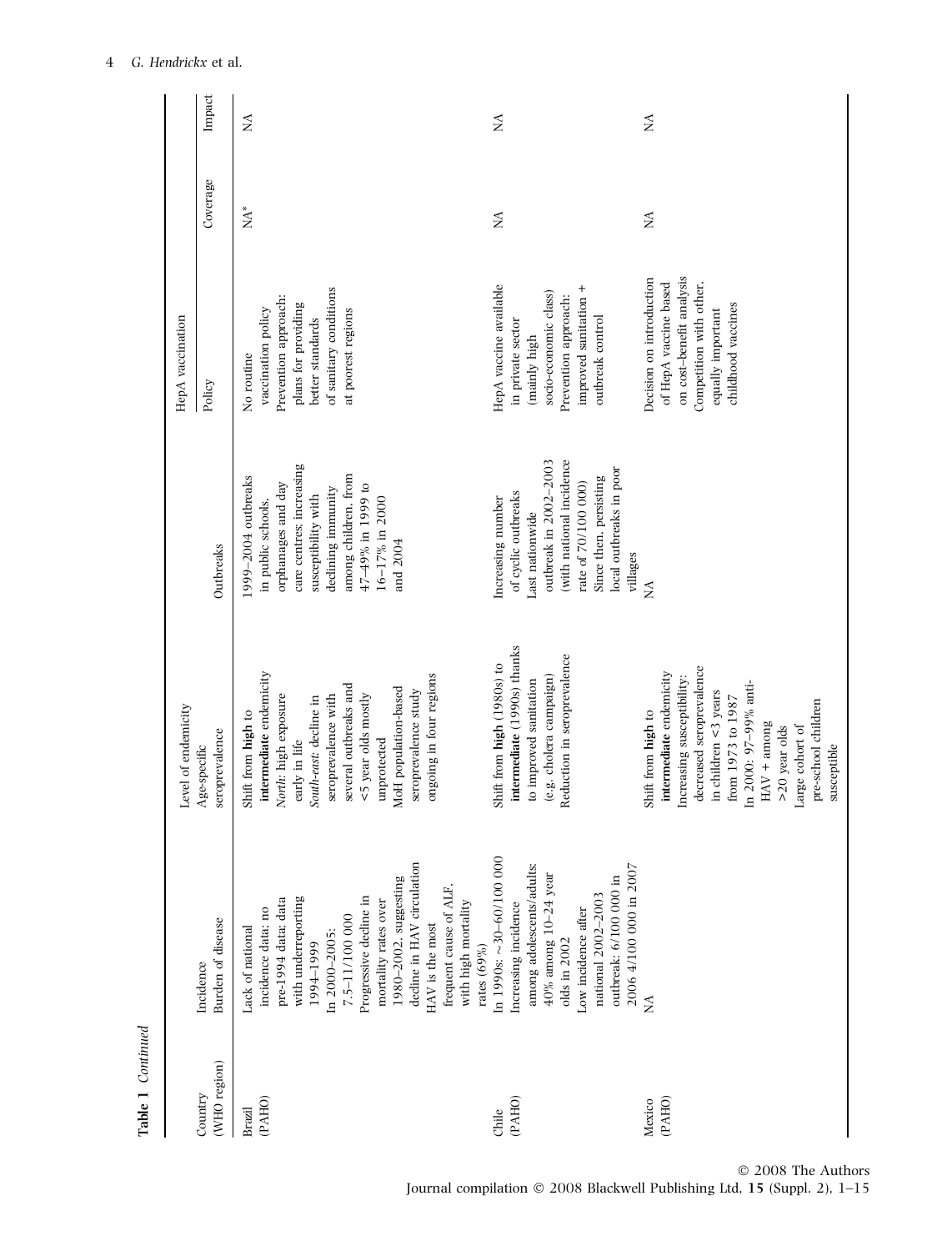|                         |                                                                                                                                                                                                                                                                                                                                                   | Level of endemicity                                                                                                                                                                                                                                                                |                                                                                                                                                                                                                         | HepA vaccination                                                                                                                                          |          |           |
|-------------------------|---------------------------------------------------------------------------------------------------------------------------------------------------------------------------------------------------------------------------------------------------------------------------------------------------------------------------------------------------|------------------------------------------------------------------------------------------------------------------------------------------------------------------------------------------------------------------------------------------------------------------------------------|-------------------------------------------------------------------------------------------------------------------------------------------------------------------------------------------------------------------------|-----------------------------------------------------------------------------------------------------------------------------------------------------------|----------|-----------|
| (WHO region)<br>Country | Burden of disease<br>Incidence                                                                                                                                                                                                                                                                                                                    | seroprevalence<br>Age-specific                                                                                                                                                                                                                                                     | Outbreaks                                                                                                                                                                                                               | Policy                                                                                                                                                    | Coverage | Impact    |
| (PAHO)<br>Brazil        | decline in HAV circulation<br>1980-2002, suggesting<br>frequent cause of ALF,<br>Progressive decline in<br>with underreporting<br>pre-1994 data; data<br>mortality rates over<br>with high mortality<br>incidence data; no<br>7.5-11/100 000<br>$\mathrm{HAV}$ is the most<br>Lack of national<br>$ln 2000 - 2005$<br>1994-1999<br>rates $(69\%)$ | intermediate endemicity<br>ongoing in four regions<br>several outbreaks and<br>MoH population-based<br>seroprevalence study<br>$5$ year olds mostly<br>seroprevalence with<br>North: high exposure<br>South-east: decline in<br>Shift from high to<br>unprotected<br>early in life | care centres; increasing<br>among children, from<br>1999-2004 outbreaks<br>orphanages and day<br>$47 - 49%$ in 1999 to<br>declining immunity<br>susceptibility with<br>16-17% in 2000<br>in public schools,<br>and 2004 | of sanitary conditions<br>Prevention approach:<br>plans for providing<br>vaccination policy<br>at poorest regions<br>better standards<br>No routine       | Å*       | <b>NA</b> |
| (PAHO)<br>Chile         | In 1990s: $\sim$ 30-60/100 000<br>2006 4/100 000 in 2007<br>among adolescents/adults:<br>$40\%$ among $10-24$ year<br>outbreak: 6/100 000 in<br>national 2002-2003<br>Increasing incidence<br>Low incidence after<br>olds in 2002                                                                                                                 | intermediate (1990s) thanks<br>Reduction in seroprevalence<br>Shift from high (1980s) to<br>(e.g. cholera campaign)<br>to improved sanitation                                                                                                                                      | outbreak in 2002-2003<br>(with national incidence<br>local outbreaks in poor<br>Since then, persisting<br>rate of 70/100 000)<br>of cyclic outbreaks<br>Increasing number<br>ast nationwide<br>villages                 | HepA vaccine available<br>improved sanitation +<br>socio-economic class)<br>Prevention approach:<br>outbreak control<br>in private sector<br>(mainly high | Ń        | ΧÁ        |
| (PAHO)<br>Mexico        | ΧÁ                                                                                                                                                                                                                                                                                                                                                | decreased seroprevalence<br>intermediate endemicity<br>Increasing susceptibility:<br>In 2000: 97-99% anti-<br>in children $<$ 3 years<br>from 1973 to 1987<br>pre-school children<br>Shift from high to<br>$HAV + among$<br>Large cohort of<br>$>20$ year olds<br>susceptible      | Ź                                                                                                                                                                                                                       | on cost-benefit analysis<br>Decision on introduction<br>of HepA vaccine based<br>Competition with other,<br>childhood vaccines<br>equally important       | ΣÁ       | ΧÁ        |

© 2008 The Authors Journal compilation © 2008 Blackwell Publishing Ltd, 15 (Suppl. 2), 1–15

Table 1 Continued Table 1 Continued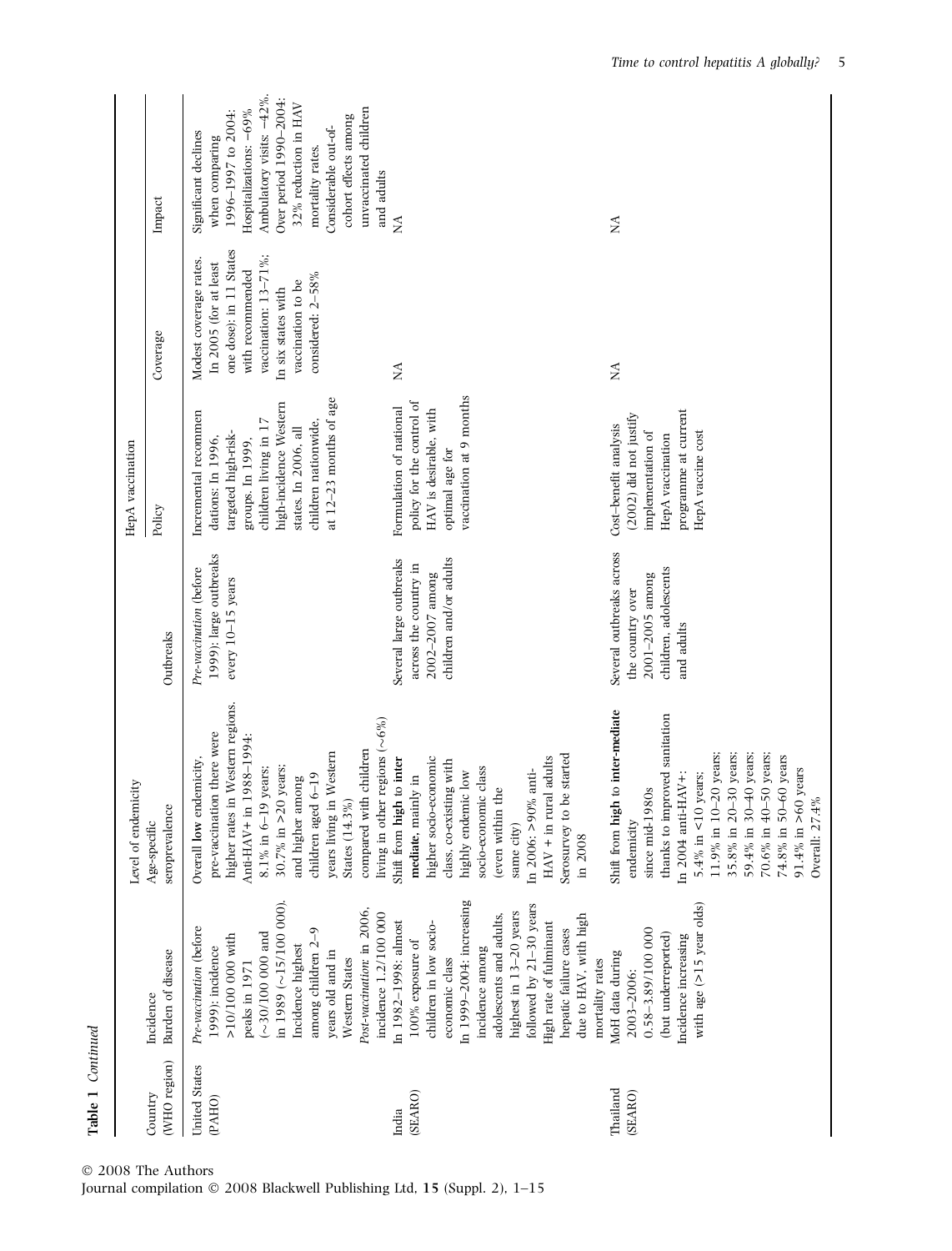|                         |                                                                                                                                                                                                                                                                                                 | Level of endemicity                                                                                                                                                                                                                                                                                                           |                                                                                                        | HepA vaccination                                                                                                                                                                                                  |                                                                                                                                                                                        |                                                                                                                                                                                                                                                                                    |
|-------------------------|-------------------------------------------------------------------------------------------------------------------------------------------------------------------------------------------------------------------------------------------------------------------------------------------------|-------------------------------------------------------------------------------------------------------------------------------------------------------------------------------------------------------------------------------------------------------------------------------------------------------------------------------|--------------------------------------------------------------------------------------------------------|-------------------------------------------------------------------------------------------------------------------------------------------------------------------------------------------------------------------|----------------------------------------------------------------------------------------------------------------------------------------------------------------------------------------|------------------------------------------------------------------------------------------------------------------------------------------------------------------------------------------------------------------------------------------------------------------------------------|
| (WHO region)<br>Country | Burden of disease<br>Incidence                                                                                                                                                                                                                                                                  | seroprevalence<br>Age-specific                                                                                                                                                                                                                                                                                                | Outbreaks                                                                                              | Policy                                                                                                                                                                                                            | Coverage                                                                                                                                                                               | Impact                                                                                                                                                                                                                                                                             |
| United States<br>(PAHO) | in 1989 ( $\sim$ 15/100 000).<br>Post-vaccination: in 2006,<br>incidence 1.2/100 000<br>Pre-vaccination (before<br>among children 2-9<br>$(\sim 30/100000$ and<br>>10/100 000 with<br>Incidence highest<br>1999): incidence<br>years old and in<br>Western States<br>peaks in 1971              | higher rates in Western regions.<br>living in other regions $(\sim 6\%)$<br>pre-vaccination there were<br>Anti-HAV+ in 1988-1994:<br>compared with children<br>years living in Western<br>Overall low endemicity,<br>30.7% in >20 years;<br>years;<br>children aged 6-19<br>and higher among<br>8.1% in 6-19<br>States (14.3% | 1999): large outbreaks<br>Pre-vaccination (before<br>every 10-15 years                                 | at 12-23 months of age<br>high-incidence Western<br>Incremental recommen<br>children living in 17<br>children nationwide,<br>states. In 2006, all<br>targeted high-risk-<br>dations: In 1996,<br>groups. In 1999, | one dose): in 11 States<br>vaccination: 13-71%;<br>Modest coverage rates.<br>In 2005 (for at least<br>with recommended<br>considered: 2-58%<br>vaccination to be<br>In six states with | Ambulatory visits: -42%.<br>Over period 1990-2004:<br>32% reduction in HAV<br>unvaccinated children<br>Hospitalizations: $-69\%$<br>1996-1997 to 2004:<br>cohort effects among<br>Considerable out-of-<br>Significant declines<br>when comparing<br>mortality rates.<br>and adults |
| (SEARO)<br>India        | In 1999-2004: increasing<br>followed by 21-30 years<br>highest in 13-20 years<br>due to HAV, with high<br>adolescents and adults,<br>In 1982-1998: almost<br>children in low socio-<br>High rate of fulminant<br>hepatic failure cases<br>100% exposure of<br>incidence among<br>economic class | Serosurvey to be started<br>higher socio-economic<br>$HAV + in rural adults$<br>to inter<br>class, co-existing with<br>socio-economic class<br>highly endemic low<br>In 2006: $>90\%$ anti-<br>mediate, mainly in<br>(even within the<br>Shift from high<br>same city)<br>in 2008                                             | children and/or adults<br>Several large outbreaks<br>across the country in<br>2002-2007 among          | vaccination at 9 months<br>policy for the control of<br>Formulation of national<br>HAV is desirable, with<br>optimal age for                                                                                      | Ń                                                                                                                                                                                      | ΧÁ                                                                                                                                                                                                                                                                                 |
| Thailand<br>(SEARO)     | with age $(>15$ year olds)<br>0.58-3.89/100 000<br>(but underreported)<br>Incidence increasing<br>MoH data during<br>mortality rates<br>2003-2006:                                                                                                                                              | to inter-mediate<br>thanks to improved sanitation<br>11.9% in $10-20$ years;<br>35.8% in 20-30 years;<br>59.4% in 30-40 years;<br>70.6% in 40-50 years;<br>74.8% in 50-60 years<br>91.4% in >60 years<br>5.4% in <10 years;<br>In $2004$ anti- $HAV+$ :<br>since mid-1980s<br>Overall: 27.4%<br>Shift from high<br>endemicity | Several outbreaks across<br>children, adolescents<br>2001-2005 among<br>the country over<br>and adults | programme at current<br>(2002) did not justify<br>Cost-benefit analysis<br>HepA vaccine cost<br>implementation of<br>HepA vaccination                                                                             | Ź                                                                                                                                                                                      | Ź                                                                                                                                                                                                                                                                                  |

Table 1 Continued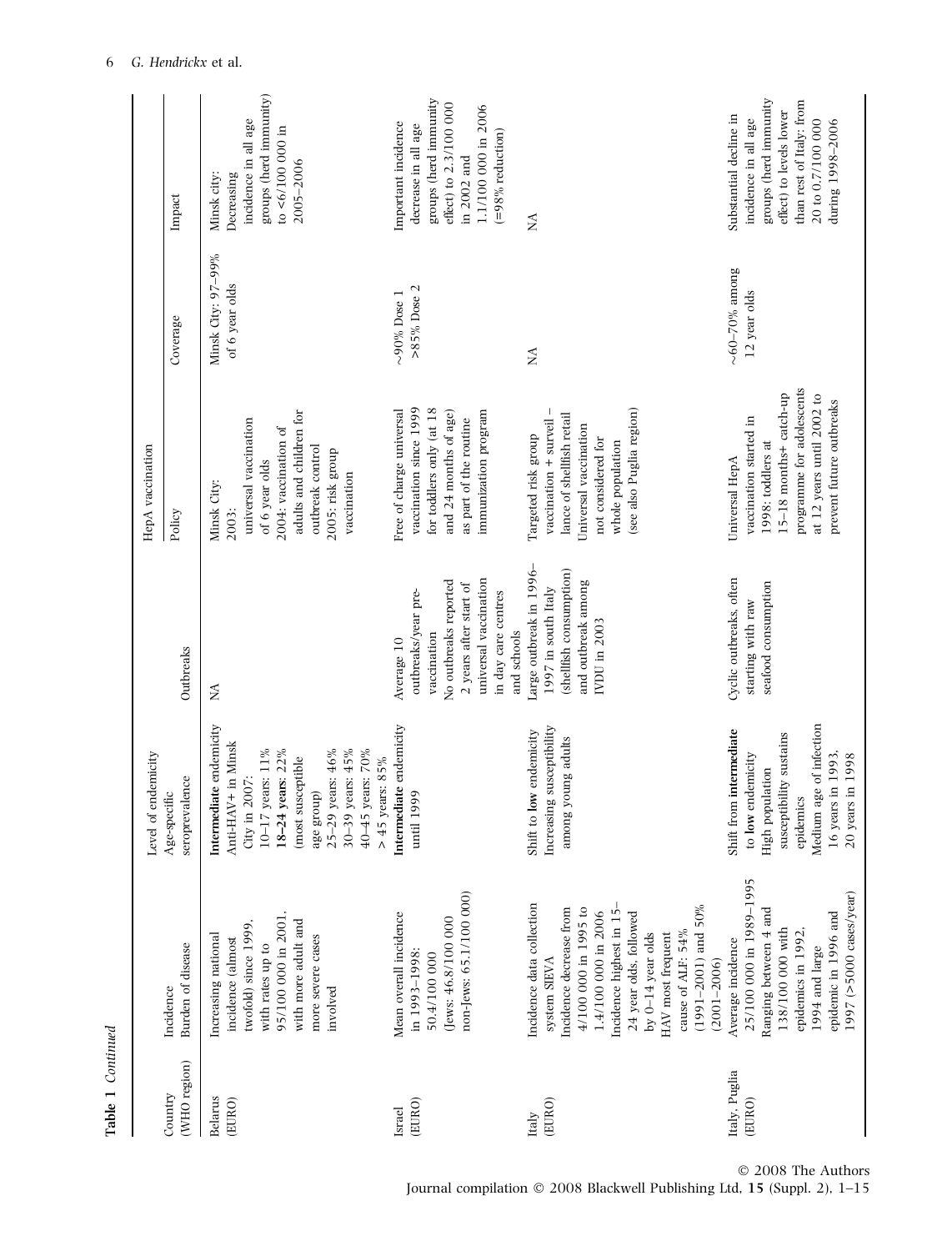|                         |                                                                                                                                                                                                                                                                                          | Level of endemicity                                                                                                                                                                                                                     |                                                                                                                                                                    | HepA vaccination                                                                                                                                                                |                                                 |                                                                                                                                                                         |
|-------------------------|------------------------------------------------------------------------------------------------------------------------------------------------------------------------------------------------------------------------------------------------------------------------------------------|-----------------------------------------------------------------------------------------------------------------------------------------------------------------------------------------------------------------------------------------|--------------------------------------------------------------------------------------------------------------------------------------------------------------------|---------------------------------------------------------------------------------------------------------------------------------------------------------------------------------|-------------------------------------------------|-------------------------------------------------------------------------------------------------------------------------------------------------------------------------|
| (WHO region)<br>Country | Burden of disease<br>Incidence                                                                                                                                                                                                                                                           | seroprevalence<br>Age-specific                                                                                                                                                                                                          | Outbreaks                                                                                                                                                          | Policy                                                                                                                                                                          | Coverage                                        | Impact                                                                                                                                                                  |
| Belarus<br>(EURO)       | 95/100 000 in 2001,<br>with more adult and<br>twofold) since 1999,<br>Increasing national<br>more severe cases<br>incidence (almost<br>with rates up to<br>involved                                                                                                                      | Intermediate endemicity<br>Anti-HAV+ in Minsk<br>30-39 years: 45%<br>40–45 years: 70%<br>$10\text{--}17$ years: $11\%$<br>18-24 years: 22%<br>25-29 years: 46%<br>(most susceptible<br>$>$ 45 years: 85%<br>City in 2007:<br>age group) | Ş                                                                                                                                                                  | adults and children for<br>universal vaccination<br>2004: vaccination of<br>outbreak control<br>2005: risk group<br>of 6 year olds<br>vaccination<br>Minsk City:<br>2003:       | Minsk City: 97-99%<br>of 6 year olds            | groups (herd immunity)<br>incidence in all age<br>$to < 6/100000$ in<br>2005-2006<br>Minsk city:<br>Decreasing                                                          |
| (EURO)<br>Israel        | non-Jews: 65.1/100 000)<br>Mean overall incidence<br>(Jews: 46.8/100 000<br>in 1993-1998:<br>50.4/100 000                                                                                                                                                                                | Intermediate endemicity<br>until 1999                                                                                                                                                                                                   | universal vaccination<br>No outbreaks reported<br>2 years after start of<br>outbreaks/year pre-<br>in day care centres<br>and schools<br>vaccination<br>Average 10 | vaccination since 1999<br>for toddlers only (at 18<br>immunization program<br>Free of charge universal<br>and 24 months of age)<br>as part of the routine                       | $>85\%$ Dose 2<br>$\sim$ 90% Dose 1             | groups (herd immunity<br>effect) to 2.3/100 000<br>1.1/100 000 in 2006<br>Important incidence<br>decrease in all age<br>$(=98%$ reduction)<br>in 2002 and               |
| (EURO)<br>Italy         | Incidence data collection<br>$(1991 - 2001)$ and 50%<br>Incidence decrease from<br>4/100 000 in 1995 to<br>Incidence highest in 15-<br>1.4/100 000 in 2006<br>24 year olds, followed<br>cause of ALF: 54%<br>by $0-14$ year olds<br>HAV most frequent<br>system SIEVA<br>$(2001 - 2006)$ | susceptibility<br>Shift to low endemicity<br>among young adults<br>Increasing                                                                                                                                                           | Large outbreak in 1996-<br>(shellfish consumption)<br>and outbreak among<br>$1997$ in south $\mbox{Italy}$<br>IVDU in $2003$                                       | vaccination + surveil -<br>(see also Puglia region)<br>lance of shellfish retail<br>Universal vaccination<br>Targeted risk group<br>not considered for<br>whole population      | $\stackrel{\triangle}{\geq}$                    | Ź                                                                                                                                                                       |
| Italy, Puglia<br>(EURO) | 25/100 000 in 1989-1995<br>$1997$ (>5000 cases/year)<br>Ranging between 4 and<br>epidemic in 1996 and<br>138/100 000 with<br>epidemics in 1992,<br>Average incidence<br>1994 and large                                                                                                   | Medium age of infection<br>intermediate<br>susceptibility sustains<br>16 years in 1993,<br>to low endemicity<br>in 1998<br>High population<br>epidemics<br>Shift from<br>20 years                                                       | Cyclic outbreaks, often<br>seafood consumption<br>starting with raw                                                                                                | programme for adolescents<br>at 12 years until $2002$ to<br>15-18 months+ catch-up<br>prevent future outbreaks<br>vaccination started in<br>1998: toddlers at<br>Universal HepA | $\sim\!60\!\!-\!\!70\%$ among<br>$12$ year olds | groups (herd immunity<br>than rest of Italy: from<br>effect) to levels lower<br>Substantial decline in<br>incidence in all age<br>20 to 0.7/100 000<br>during 1998-2006 |

© 2008 The Authors Journal compilation © 2008 Blackwell Publishing Ltd, 15 (Suppl. 2), 1–15

Table 1 Continued Table 1 Continued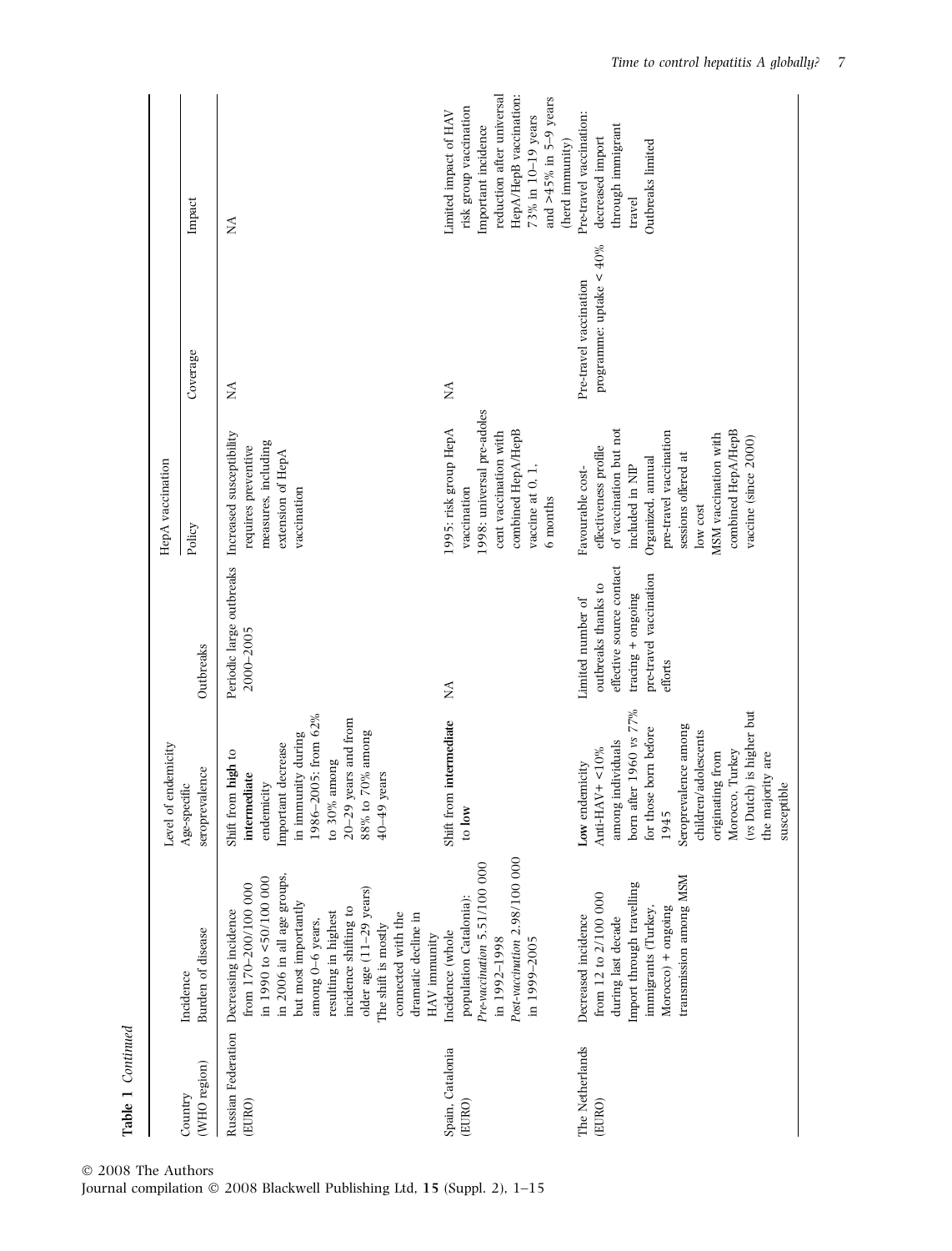|                            |                                                                                                                                                                                                                                                                                                                                       | Level of endemicity                                                                                                                                                                                                                                                        |                                                                                                                                   | HepA vaccination                                                                                                                                                                                                                               |                                                      |                                                                                                                                                                                                    |
|----------------------------|---------------------------------------------------------------------------------------------------------------------------------------------------------------------------------------------------------------------------------------------------------------------------------------------------------------------------------------|----------------------------------------------------------------------------------------------------------------------------------------------------------------------------------------------------------------------------------------------------------------------------|-----------------------------------------------------------------------------------------------------------------------------------|------------------------------------------------------------------------------------------------------------------------------------------------------------------------------------------------------------------------------------------------|------------------------------------------------------|----------------------------------------------------------------------------------------------------------------------------------------------------------------------------------------------------|
| (WHO region)<br>Country    | <b>Burden</b> of disease<br>Incidence                                                                                                                                                                                                                                                                                                 | seroprevalence<br>Age-specific                                                                                                                                                                                                                                             | Outbreaks                                                                                                                         | Policy                                                                                                                                                                                                                                         | Coverage                                             | Impact                                                                                                                                                                                             |
| (EURO)                     | in 2006 in all age groups,<br>in 1990 to $< 50/100000$<br>from 170-200/100 000<br>older age (11-29 years)<br>but most importantly<br>incidence shifting to<br>Russian Federation Decreasing incidence<br>resulting in highest<br>connected with the<br>dramatic decline in<br>among 0-6 years,<br>The shift is mostly<br>HAV immunity | 1986-2005: from 62%<br>$20 - 29$ years and from<br>88% to 70% among<br>in immunity during<br>Important decrease<br>Shift from high to<br>to 30% among<br>$40 - 49$ years<br>intermediate<br>endemicity                                                                     | Periodic large outbreaks Increased susceptibility<br>2000-2005                                                                    | measures, including<br>requires preventive<br>extension of HepA<br>vaccination                                                                                                                                                                 | Ź                                                    | ΧÁ                                                                                                                                                                                                 |
| Spain, Catalonia<br>(EURO) | Post-vaccination 2.98/100 000<br>Pre-vaccination 5.51/100 000<br>population Catalonia):<br>Incidence (whole<br>in 1992-1998<br>in 1999-2005                                                                                                                                                                                           | Shift from intermediate<br>to low                                                                                                                                                                                                                                          | Ń                                                                                                                                 | 1998: universal pre-adoles<br>1995: risk group HepA<br>cent vaccination with<br>combined HepA/HepB<br>vaccine at 0, 1,<br>vaccination<br>6 months                                                                                              | Ń                                                    | reduction after universal<br>HepA/HepB vaccination:<br>and $>45\%$ in 5-9 years<br>risk group vaccination<br>limited impact of HAV<br>73% in 10-19 years<br>Important incidence<br>(herd immunity) |
| The Netherlands<br>(EURO)  | transmission among MSM<br>Import through travelling<br>from 12 to 2/100 000<br>$Moreover$ + ongoing<br>immigrants (Turkey,<br>Decreased incidence<br>during last decade                                                                                                                                                               | born after 1960 vs 77%<br>(vs Dutch) is higher but<br>Seroprevalence among<br>for those born before<br>children/adolescents<br>among individuals<br>Anti-HAV+ < $10\%$<br>Morocco, Turkey<br>originating from<br>the majority are<br>Low endemicity<br>susceptible<br>1945 | effective source contact<br>pre-travel vaccination<br>outbreaks thanks to<br>$triangle +$ ongoing<br>Limited number of<br>efforts | of vaccination but not<br>pre-travel vaccination<br>combined HepA/HepB<br>MSM vaccination with<br>vaccine (since 2000)<br>effectiveness profile<br>sessions offered at<br>Organized, annual<br>included in NIP<br>Favourable cost-<br>low cost | programme: uptake < $40\%$<br>Pre-travel vaccination | Pre-travel vaccination:<br>through immigrant<br>decreased import<br>Outbreaks limited<br>travel                                                                                                    |

Table 1 Continued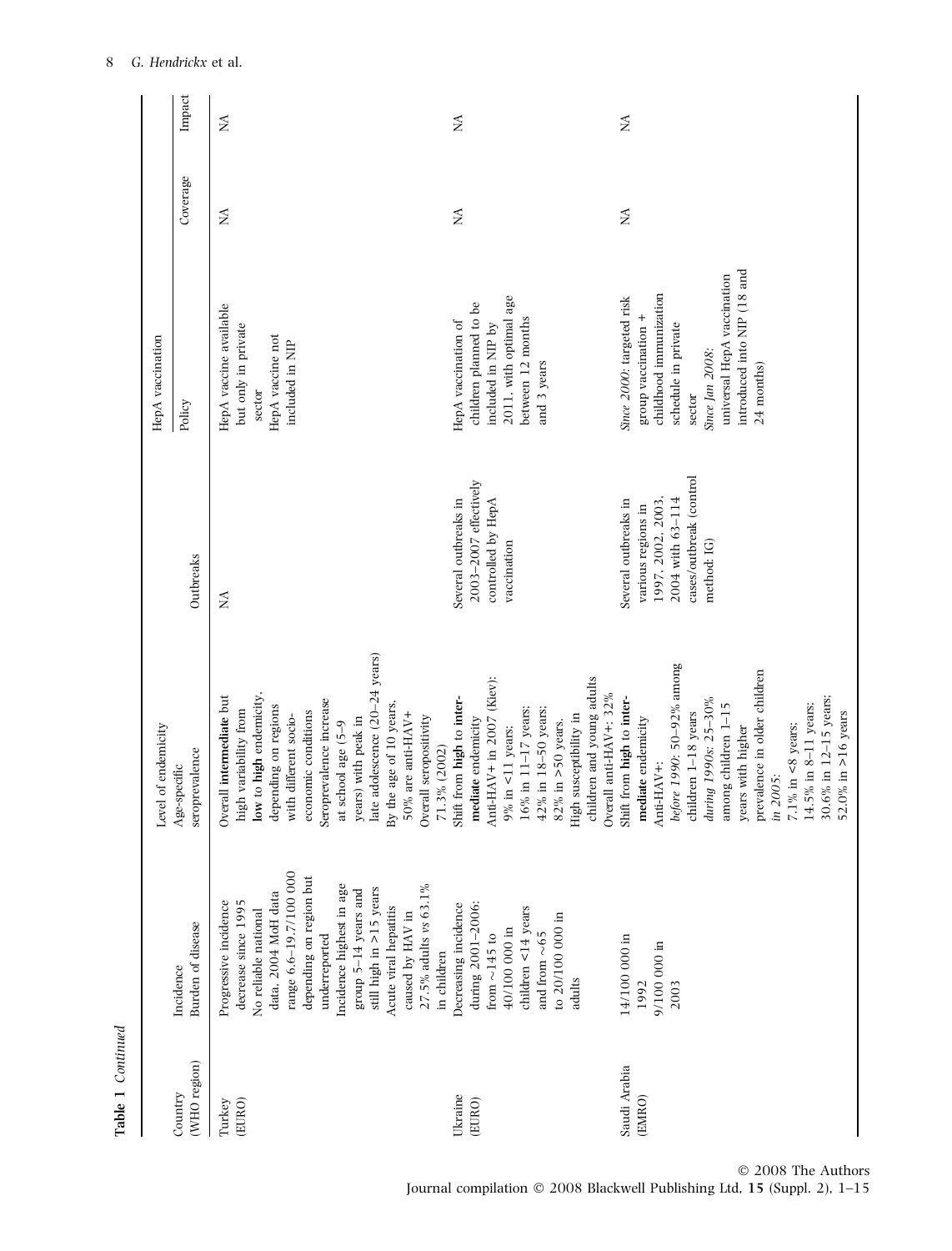|                         |                                                                                                                                                                                                                                                                                                                                       | Level of endemicity                                                                                                                                                                                                                                                                                                                                                            |                                                                                                                               | HepA vaccination                                                                                                                                                                                          |               |        |
|-------------------------|---------------------------------------------------------------------------------------------------------------------------------------------------------------------------------------------------------------------------------------------------------------------------------------------------------------------------------------|--------------------------------------------------------------------------------------------------------------------------------------------------------------------------------------------------------------------------------------------------------------------------------------------------------------------------------------------------------------------------------|-------------------------------------------------------------------------------------------------------------------------------|-----------------------------------------------------------------------------------------------------------------------------------------------------------------------------------------------------------|---------------|--------|
| (WHO region)<br>Country | Burden of disease<br>Incidence                                                                                                                                                                                                                                                                                                        | seroprevalence<br>Age-specific                                                                                                                                                                                                                                                                                                                                                 | Outbreaks                                                                                                                     | Policy                                                                                                                                                                                                    | Coverage      | Impact |
| (EURO)<br>Turkey        | range 6.6-19.7/100 000<br>depending on region but<br>Incidence highest in age<br>27.5% adults vs 63.1%<br>still high in >15 years<br>group 5-14 years and<br>data, 2004 MoH data<br>decrease since 1995<br>Progressive incidence<br>Acute viral hepatitis<br>No reliable national<br>caused by HAV in<br>underreported<br>in children | late adolescence $(20-24 \text{ years})$<br>low to high endemicity,<br>depending on regions<br>Overall intermediate but<br>Seroprevalence increase<br>By the age of 10 years, $50\%$ are anti-HAV+<br>high variability from<br>economic conditions<br>with different socio-<br>Overall seropositivity<br>years) with peak in<br>school age (5-9<br>$71.3\% (2002)$<br>$\sharp$ | ΧÁ                                                                                                                            | HepA vaccine available<br>but only in private<br>HepA vaccine not<br>included in NIP<br>sector                                                                                                            | ΧÁ.           | ΧÁ.    |
| Ukraine<br>(EURO)       | during 2001-2006:<br>Decreasing incidence<br>children $<$ 14 years<br>to 20/100 000 in<br>40/100 000 in<br>and from $\sim 65$<br>from ${\sim}145$ to<br>adults                                                                                                                                                                        | children and young adults<br>Anti-HAV + in $2007$ (Kiev):<br>Overall anti-HAV+: 32%<br>Shift from high to inter-<br>16% in 11-17 years;<br>42% in 18-50 years;<br>82% in >50 years.<br>High susceptibility in<br>mediate endemicity<br>$9\%$ in <11 years;                                                                                                                     | 2003-2007 effectively<br>Several outbreaks in<br>controlled by HepA<br>vaccination                                            | age<br>children planned to be<br>2011, with optimal<br>between 12 months<br>HepA vaccination of<br>included in NIP by<br>and 3 years                                                                      | Ź             | ΧÁ     |
| Saudi Arabia<br>(EMRO)  | 14/100 000 in<br>9/100 000 in<br>1992<br>2003                                                                                                                                                                                                                                                                                         | before 1990: 50-92% among<br>prevalence in older children<br>Shift from high to inter-<br>30.6% in 12–15 years;<br>52.0% in >16 years<br>during 1990s: 25-30%<br>among children 1-15<br>14.5% in 8-11 years;<br>children 1-18 years<br>mediate endemicity<br>in 2005:<br>7.1% in <8 years:<br>years with higher<br>Anti-HAV+:                                                  | cases/outbreak (control<br>1997, 2002, 2003,<br>2004 with 63-114<br>Several outbreaks in<br>various regions in<br>method: IG) | introduced into NIP (18 and<br>universal HepA vaccination<br>childhood immunization<br>Since 2000: targeted risk<br>group vaccination +<br>schedule in private<br>Since Jan 2008:<br>24 months)<br>sector | $\lessapprox$ | Ź      |

Table 1 Continued

© 2008 The Authors Journal compilation © 2008 Blackwell Publishing Ltd, 15 (Suppl. 2), 1–15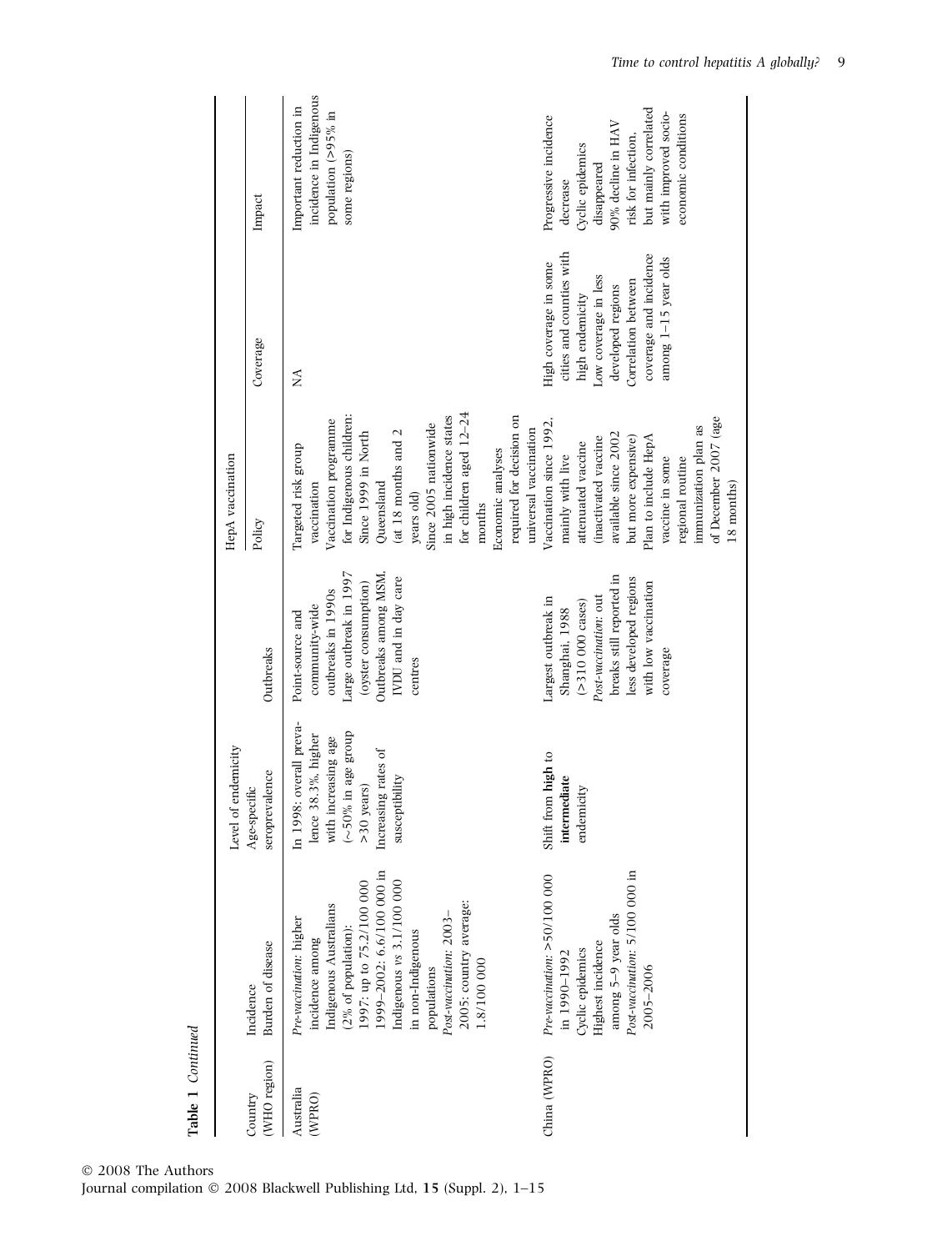|                         |                                                                                                                                                                                                                                                                                           | Level of endemicity                                                                                                                                            |                                                                                                                                                                                        | HepA vaccination                                                                                                                                                                                                                                                                                                 |                                                                                                                                                                                            |                                                                                                                                                                                           |
|-------------------------|-------------------------------------------------------------------------------------------------------------------------------------------------------------------------------------------------------------------------------------------------------------------------------------------|----------------------------------------------------------------------------------------------------------------------------------------------------------------|----------------------------------------------------------------------------------------------------------------------------------------------------------------------------------------|------------------------------------------------------------------------------------------------------------------------------------------------------------------------------------------------------------------------------------------------------------------------------------------------------------------|--------------------------------------------------------------------------------------------------------------------------------------------------------------------------------------------|-------------------------------------------------------------------------------------------------------------------------------------------------------------------------------------------|
| (WHO region)<br>Country | Burden of disease<br>Incidence                                                                                                                                                                                                                                                            | seroprevalence<br>Age-specific                                                                                                                                 | Outbreaks                                                                                                                                                                              | Policy                                                                                                                                                                                                                                                                                                           | Coverage                                                                                                                                                                                   | Impact                                                                                                                                                                                    |
| Australia<br>(WPRO)     | 1999-2002: 6.6/100 000 in<br>1997: up to 75.2/100 000<br>Indigenous vs 3.1/100 000<br>2005: country average:<br>Indigenous Australians<br>Post-vaccination: 2003-<br>Pre-vaccination: higher<br>(2% of population):<br>in non-Indigenous<br>incidence among<br>1.8/100 000<br>populations | In 1998: overall preva-<br>$(\sim\!\!50\%$ in age group<br>lence 38.3%, higher<br>with increasing age<br>Increasing rates of<br>susceptibility<br>$>30$ years) | Large outbreak in 1997<br>Outbreaks among MSM,<br>IVDU and in day care<br>(oyster consumption)<br>outbreaks in 1990s<br>community-wide<br>Point-source and<br>centres                  | for children aged 12-24<br>for Indigenous children:<br>in high incidence states<br>required for decision on<br>Vaccination programme<br>Since 2005 nationwide<br>$(at 18$ months and $2$<br>Since 1999 in North<br>Targeted risk group<br>Economic analyses<br>vaccination<br>Queensland<br>years old)<br>months | Ń                                                                                                                                                                                          | incidence in Indigenous<br>Important reduction in<br>population (>95% in<br>some regions)                                                                                                 |
| China (WPRO)            | Post-vaccination: 5/100 000 in<br>Pre-vaccination: >50/100 000<br>among 5-9 year olds<br>Highest incidence<br>Cyclic epidemics<br>in 1990-1992<br>2005-2006                                                                                                                               | Shift from high to<br>intermediate<br>endemicity                                                                                                               | breaks still reported in<br>less developed regions<br>with low vaccination<br>Post-vaccination: out<br>Largest outbreak in<br>$(>310 000 \text{ cases})$<br>Shanghai, 1988<br>coverage | of December 2007 (age<br>Vaccination since 1992.<br>immunization plan as<br>universal vaccination<br>available since 2002<br>but more expensive)<br>Plan to include HepA<br>(inactivated vaccine<br>attenuated vaccine<br>mainly with live<br>regional routine<br>vaccine in some<br>18 months)                  | cities and counties with<br>coverage and incidence<br>among 1-15 year olds<br>High coverage in some<br>Low coverage in less<br>Correlation between<br>developed regions<br>high endemicity | but mainly correlated<br>with improved socio-<br>economic conditions<br>Progressive incidence<br>90% decline in HAV<br>risk for infection,<br>Cyclic epidemics<br>disappeared<br>decrease |

Table 1 Continued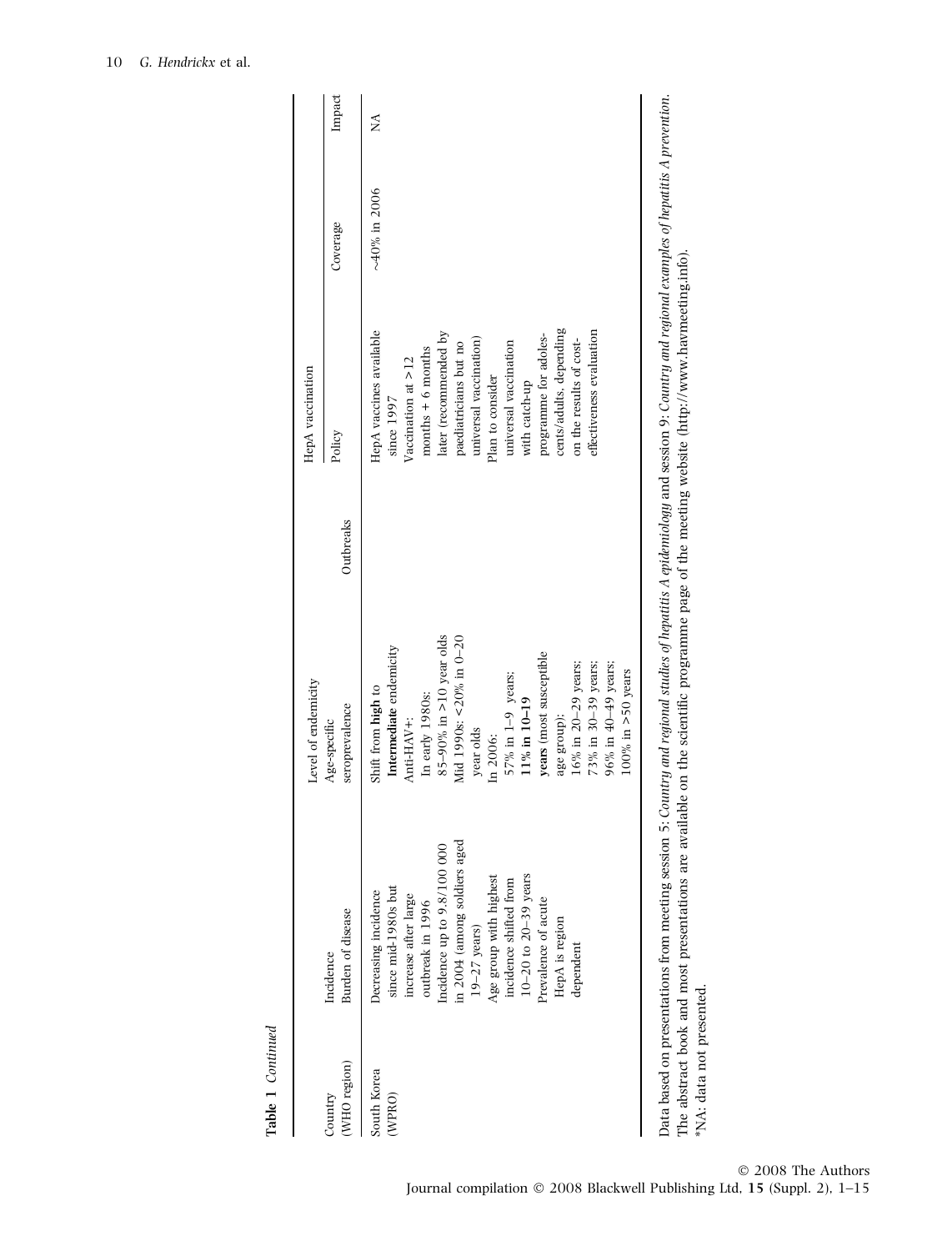|                          |                                                                                                                                                                                                                                                                                                                | Level of endemicity                                                                                                                                                                                                                                                                                                                                              |           | HepA vaccination                                                                                                                                                                                                                                                                                                                          |                  |        |
|--------------------------|----------------------------------------------------------------------------------------------------------------------------------------------------------------------------------------------------------------------------------------------------------------------------------------------------------------|------------------------------------------------------------------------------------------------------------------------------------------------------------------------------------------------------------------------------------------------------------------------------------------------------------------------------------------------------------------|-----------|-------------------------------------------------------------------------------------------------------------------------------------------------------------------------------------------------------------------------------------------------------------------------------------------------------------------------------------------|------------------|--------|
| (WHO region)<br>Country  | Burden of disease<br>Incidence                                                                                                                                                                                                                                                                                 | seroprevalence<br>Age-specific                                                                                                                                                                                                                                                                                                                                   | Outbreaks | Policy                                                                                                                                                                                                                                                                                                                                    | Coverage         | Impact |
| South Korea<br>(WPRO)    | in 2004 (among soldiers aged<br>Incidence up to 9.8/100 000<br>$10-20$ to $20-39$ years<br>Age group with highest<br>incidence shifted from<br>since mid-1980s but<br>Decreasing incidence<br>increase after large<br>Prevalence of acute<br>outbreak in 1996<br>HepA is region<br>$19-27$ years)<br>dependent | 85-90% in $>10$ year olds<br>Mid 1990s: <20% in 0-20<br>Intermediate endemicity<br>years (most susceptible<br>73% in 30-39 years;<br>$96\%$ in $40 - 49$ years;<br>$16\%$ in $20 - 29$ years;<br>$100\%$ in $>50$ years<br>$57\%$ in $1-9$ years;<br>Shift from high to<br>In early 1980s:<br>11% in 10-19<br>age group);<br>Anti-HAV+:<br>year olds<br>In 2006: |           | cents/adults, depending<br>HepA vaccines available<br>effectiveness evaluation<br>later (recommended by<br>programme for adoles-<br>universal vaccination)<br>on the results of cost-<br>universal vaccination<br>paediatricians but no<br>$months + 6 months$<br>Vaccination at $>12$<br>Plan to consider<br>with catch-up<br>since 1997 | $~040\%$ in 2006 | Ź      |
| *NA: data not presented. |                                                                                                                                                                                                                                                                                                                | Data based on presentations from meeting session 5: Country and regional studies of hepatitis A epidemiology and session 9: Country and regional examples of hepatitis A prevention.<br>The abstract book and most presentations are available on the scientific programme page of the meeting website (http://www.havmeeting.info).                             |           |                                                                                                                                                                                                                                                                                                                                           |                  |        |

Table 1 Continued Table 1 Continued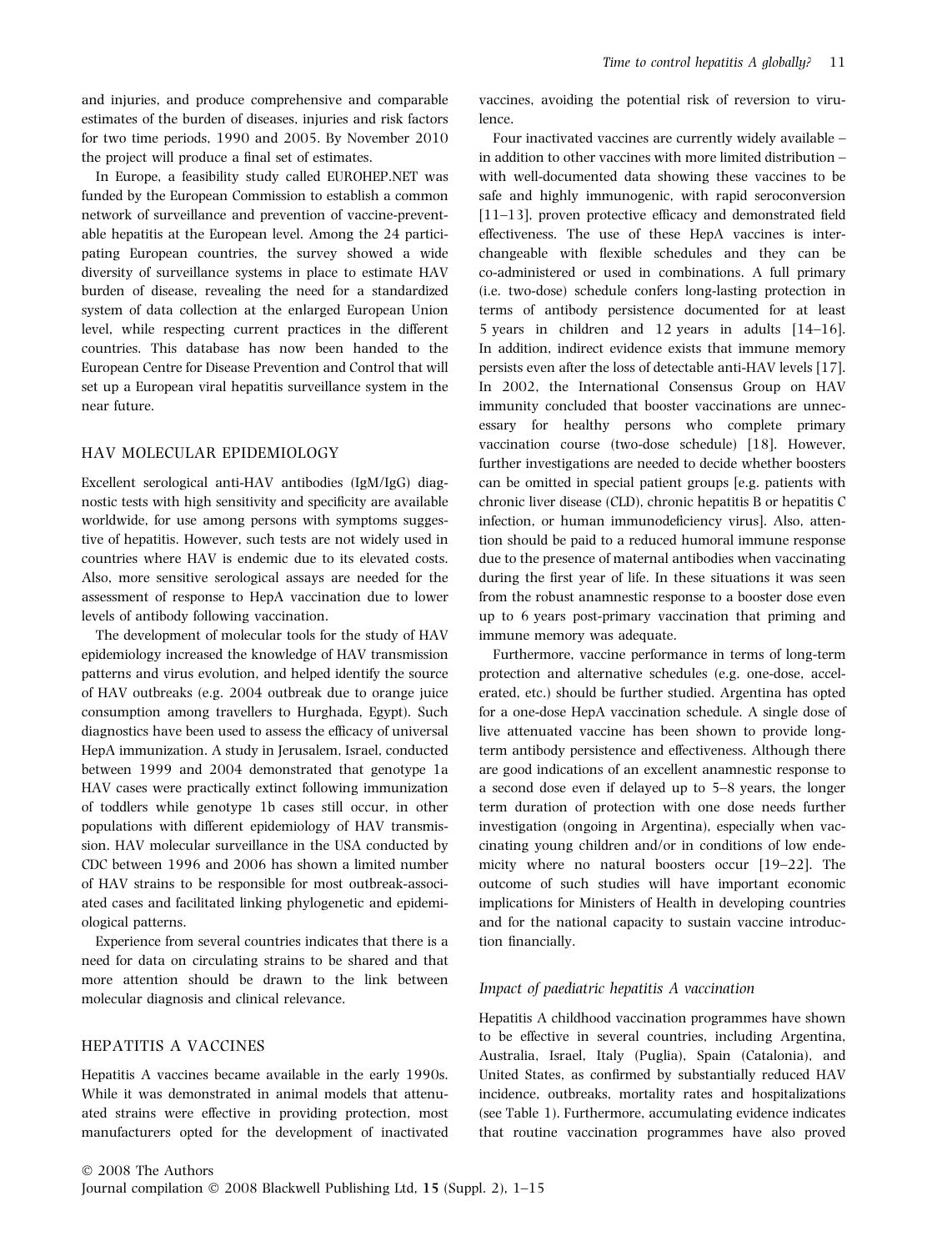and injuries, and produce comprehensive and comparable estimates of the burden of diseases, injuries and risk factors for two time periods, 1990 and 2005. By November 2010 the project will produce a final set of estimates.

In Europe, a feasibility study called EUROHEP.NET was funded by the European Commission to establish a common network of surveillance and prevention of vaccine-preventable hepatitis at the European level. Among the 24 participating European countries, the survey showed a wide diversity of surveillance systems in place to estimate HAV burden of disease, revealing the need for a standardized system of data collection at the enlarged European Union level, while respecting current practices in the different countries. This database has now been handed to the European Centre for Disease Prevention and Control that will set up a European viral hepatitis surveillance system in the near future.

#### HAV MOLECULAR EPIDEMIOLOGY

Excellent serological anti-HAV antibodies (IgM/IgG) diagnostic tests with high sensitivity and specificity are available worldwide, for use among persons with symptoms suggestive of hepatitis. However, such tests are not widely used in countries where HAV is endemic due to its elevated costs. Also, more sensitive serological assays are needed for the assessment of response to HepA vaccination due to lower levels of antibody following vaccination.

The development of molecular tools for the study of HAV epidemiology increased the knowledge of HAV transmission patterns and virus evolution, and helped identify the source of HAV outbreaks (e.g. 2004 outbreak due to orange juice consumption among travellers to Hurghada, Egypt). Such diagnostics have been used to assess the efficacy of universal HepA immunization. A study in Jerusalem, Israel, conducted between 1999 and 2004 demonstrated that genotype 1a HAV cases were practically extinct following immunization of toddlers while genotype 1b cases still occur, in other populations with different epidemiology of HAV transmission. HAV molecular surveillance in the USA conducted by CDC between 1996 and 2006 has shown a limited number of HAV strains to be responsible for most outbreak-associated cases and facilitated linking phylogenetic and epidemiological patterns.

Experience from several countries indicates that there is a need for data on circulating strains to be shared and that more attention should be drawn to the link between molecular diagnosis and clinical relevance.

#### HEPATITIS A VACCINES

Hepatitis A vaccines became available in the early 1990s. While it was demonstrated in animal models that attenuated strains were effective in providing protection, most manufacturers opted for the development of inactivated vaccines, avoiding the potential risk of reversion to virulence.

Four inactivated vaccines are currently widely available – in addition to other vaccines with more limited distribution – with well-documented data showing these vaccines to be safe and highly immunogenic, with rapid seroconversion [11–13], proven protective efficacy and demonstrated field effectiveness. The use of these HepA vaccines is interchangeable with flexible schedules and they can be co-administered or used in combinations. A full primary (i.e. two-dose) schedule confers long-lasting protection in terms of antibody persistence documented for at least 5 years in children and 12 years in adults [14–16]. In addition, indirect evidence exists that immune memory persists even after the loss of detectable anti-HAV levels [17]. In 2002, the International Consensus Group on HAV immunity concluded that booster vaccinations are unnecessary for healthy persons who complete primary vaccination course (two-dose schedule) [18]. However, further investigations are needed to decide whether boosters can be omitted in special patient groups [e.g. patients with chronic liver disease (CLD), chronic hepatitis B or hepatitis C infection, or human immunodeficiency virus]. Also, attention should be paid to a reduced humoral immune response due to the presence of maternal antibodies when vaccinating during the first year of life. In these situations it was seen from the robust anamnestic response to a booster dose even up to 6 years post-primary vaccination that priming and immune memory was adequate.

Furthermore, vaccine performance in terms of long-term protection and alternative schedules (e.g. one-dose, accelerated, etc.) should be further studied. Argentina has opted for a one-dose HepA vaccination schedule. A single dose of live attenuated vaccine has been shown to provide longterm antibody persistence and effectiveness. Although there are good indications of an excellent anamnestic response to a second dose even if delayed up to 5–8 years, the longer term duration of protection with one dose needs further investigation (ongoing in Argentina), especially when vaccinating young children and/or in conditions of low endemicity where no natural boosters occur [19–22]. The outcome of such studies will have important economic implications for Ministers of Health in developing countries and for the national capacity to sustain vaccine introduction financially.

### Impact of paediatric hepatitis A vaccination

Hepatitis A childhood vaccination programmes have shown to be effective in several countries, including Argentina, Australia, Israel, Italy (Puglia), Spain (Catalonia), and United States, as confirmed by substantially reduced HAV incidence, outbreaks, mortality rates and hospitalizations (see Table 1). Furthermore, accumulating evidence indicates that routine vaccination programmes have also proved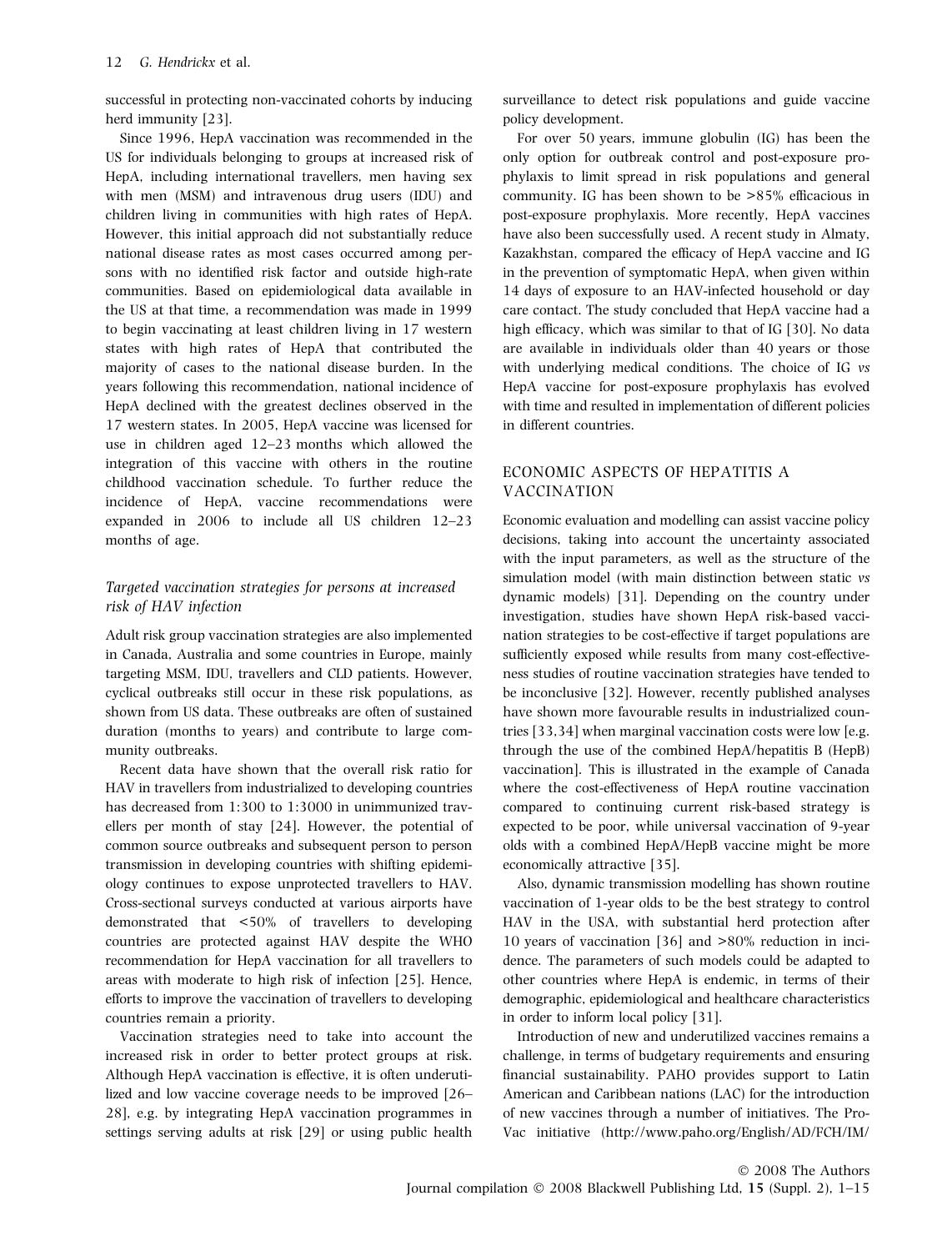successful in protecting non-vaccinated cohorts by inducing herd immunity [23].

Since 1996, HepA vaccination was recommended in the US for individuals belonging to groups at increased risk of HepA, including international travellers, men having sex with men (MSM) and intravenous drug users (IDU) and children living in communities with high rates of HepA. However, this initial approach did not substantially reduce national disease rates as most cases occurred among persons with no identified risk factor and outside high-rate communities. Based on epidemiological data available in the US at that time, a recommendation was made in 1999 to begin vaccinating at least children living in 17 western states with high rates of HepA that contributed the majority of cases to the national disease burden. In the years following this recommendation, national incidence of HepA declined with the greatest declines observed in the 17 western states. In 2005, HepA vaccine was licensed for use in children aged 12–23 months which allowed the integration of this vaccine with others in the routine childhood vaccination schedule. To further reduce the incidence of HepA, vaccine recommendations were expanded in 2006 to include all US children 12–23 months of age.

# Targeted vaccination strategies for persons at increased risk of HAV infection

Adult risk group vaccination strategies are also implemented in Canada, Australia and some countries in Europe, mainly targeting MSM, IDU, travellers and CLD patients. However, cyclical outbreaks still occur in these risk populations, as shown from US data. These outbreaks are often of sustained duration (months to years) and contribute to large community outbreaks.

Recent data have shown that the overall risk ratio for HAV in travellers from industrialized to developing countries has decreased from 1:300 to 1:3000 in unimmunized travellers per month of stay [24]. However, the potential of common source outbreaks and subsequent person to person transmission in developing countries with shifting epidemiology continues to expose unprotected travellers to HAV. Cross-sectional surveys conducted at various airports have demonstrated that <50% of travellers to developing countries are protected against HAV despite the WHO recommendation for HepA vaccination for all travellers to areas with moderate to high risk of infection [25]. Hence, efforts to improve the vaccination of travellers to developing countries remain a priority.

Vaccination strategies need to take into account the increased risk in order to better protect groups at risk. Although HepA vaccination is effective, it is often underutilized and low vaccine coverage needs to be improved [26– 28], e.g. by integrating HepA vaccination programmes in settings serving adults at risk [29] or using public health

surveillance to detect risk populations and guide vaccine policy development.

For over 50 years, immune globulin (IG) has been the only option for outbreak control and post-exposure prophylaxis to limit spread in risk populations and general community. IG has been shown to be >85% efficacious in post-exposure prophylaxis. More recently, HepA vaccines have also been successfully used. A recent study in Almaty, Kazakhstan, compared the efficacy of HepA vaccine and IG in the prevention of symptomatic HepA, when given within 14 days of exposure to an HAV-infected household or day care contact. The study concluded that HepA vaccine had a high efficacy, which was similar to that of IG [30]. No data are available in individuals older than 40 years or those with underlying medical conditions. The choice of IG vs HepA vaccine for post-exposure prophylaxis has evolved with time and resulted in implementation of different policies in different countries.

# ECONOMIC ASPECTS OF HEPATITIS A VACCINATION

Economic evaluation and modelling can assist vaccine policy decisions, taking into account the uncertainty associated with the input parameters, as well as the structure of the simulation model (with main distinction between static vs dynamic models) [31]. Depending on the country under investigation, studies have shown HepA risk-based vaccination strategies to be cost-effective if target populations are sufficiently exposed while results from many cost-effectiveness studies of routine vaccination strategies have tended to be inconclusive [32]. However, recently published analyses have shown more favourable results in industrialized countries [33,34] when marginal vaccination costs were low [e.g. through the use of the combined HepA/hepatitis B (HepB) vaccination]. This is illustrated in the example of Canada where the cost-effectiveness of HepA routine vaccination compared to continuing current risk-based strategy is expected to be poor, while universal vaccination of 9-year olds with a combined HepA/HepB vaccine might be more economically attractive [35].

Also, dynamic transmission modelling has shown routine vaccination of 1-year olds to be the best strategy to control HAV in the USA, with substantial herd protection after 10 years of vaccination [36] and >80% reduction in incidence. The parameters of such models could be adapted to other countries where HepA is endemic, in terms of their demographic, epidemiological and healthcare characteristics in order to inform local policy [31].

Introduction of new and underutilized vaccines remains a challenge, in terms of budgetary requirements and ensuring financial sustainability. PAHO provides support to Latin American and Caribbean nations (LAC) for the introduction of new vaccines through a number of initiatives. The Pro-Vac initiative (http://www.paho.org/English/AD/FCH/IM/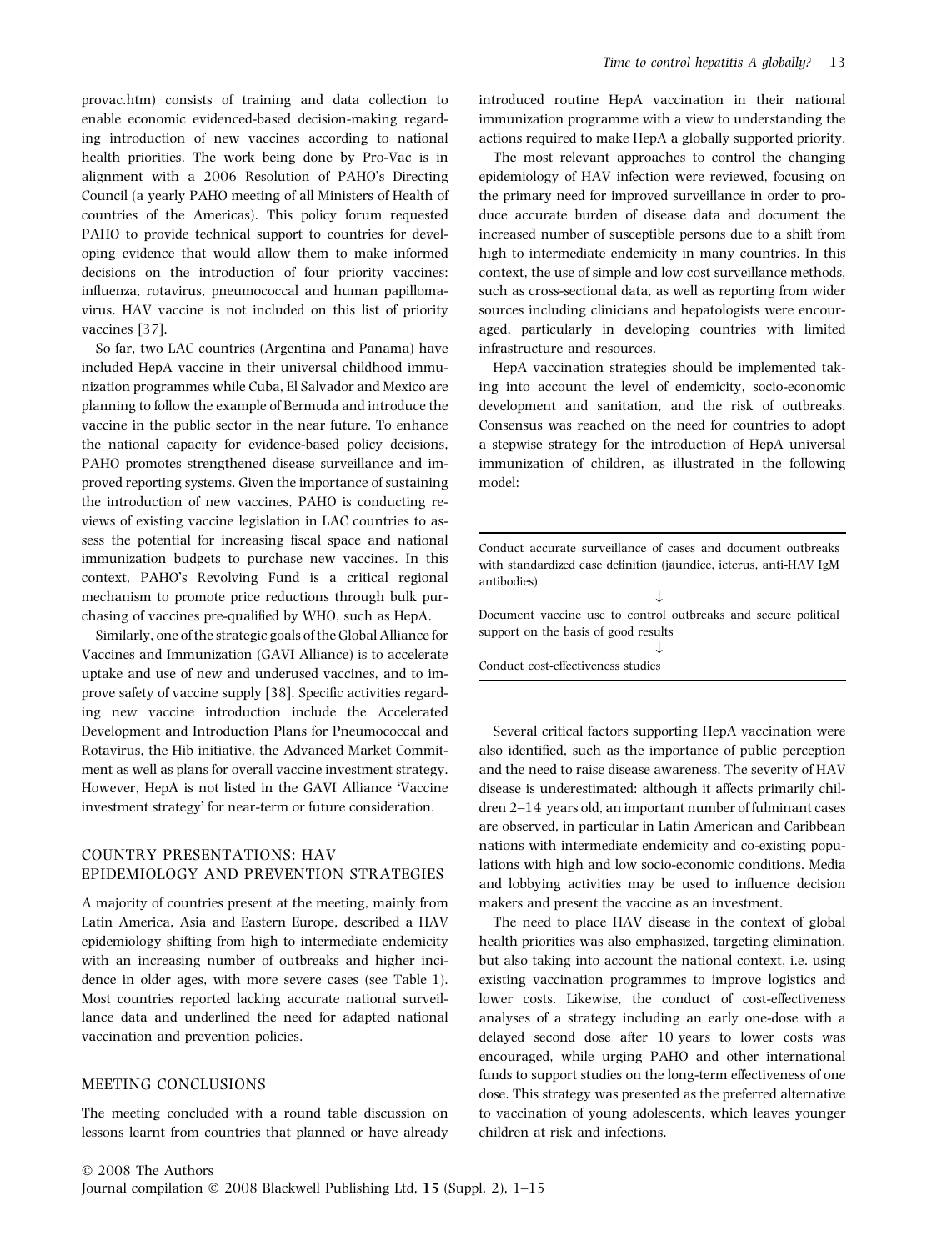provac.htm) consists of training and data collection to enable economic evidenced-based decision-making regarding introduction of new vaccines according to national health priorities. The work being done by Pro-Vac is in alignment with a 2006 Resolution of PAHO's Directing Council (a yearly PAHO meeting of all Ministers of Health of countries of the Americas). This policy forum requested PAHO to provide technical support to countries for developing evidence that would allow them to make informed decisions on the introduction of four priority vaccines: influenza, rotavirus, pneumococcal and human papillomavirus. HAV vaccine is not included on this list of priority vaccines [37].

So far, two LAC countries (Argentina and Panama) have included HepA vaccine in their universal childhood immunization programmes while Cuba, El Salvador and Mexico are planning to follow the example of Bermuda and introduce the vaccine in the public sector in the near future. To enhance the national capacity for evidence-based policy decisions, PAHO promotes strengthened disease surveillance and improved reporting systems. Given the importance of sustaining the introduction of new vaccines, PAHO is conducting reviews of existing vaccine legislation in LAC countries to assess the potential for increasing fiscal space and national immunization budgets to purchase new vaccines. In this context, PAHO's Revolving Fund is a critical regional mechanism to promote price reductions through bulk purchasing of vaccines pre-qualified by WHO, such as HepA.

Similarly, one of the strategic goals of the Global Alliance for Vaccines and Immunization (GAVI Alliance) is to accelerate uptake and use of new and underused vaccines, and to improve safety of vaccine supply [38]. Specific activities regarding new vaccine introduction include the Accelerated Development and Introduction Plans for Pneumococcal and Rotavirus, the Hib initiative, the Advanced Market Commitment as well as plans for overall vaccine investment strategy. However, HepA is not listed in the GAVI Alliance Vaccine investment strategy' for near-term or future consideration.

## COUNTRY PRESENTATIONS: HAV EPIDEMIOLOGY AND PREVENTION STRATEGIES

A majority of countries present at the meeting, mainly from Latin America, Asia and Eastern Europe, described a HAV epidemiology shifting from high to intermediate endemicity with an increasing number of outbreaks and higher incidence in older ages, with more severe cases (see Table 1). Most countries reported lacking accurate national surveillance data and underlined the need for adapted national vaccination and prevention policies.

### MEETING CONCLUSIONS

The meeting concluded with a round table discussion on lessons learnt from countries that planned or have already introduced routine HepA vaccination in their national immunization programme with a view to understanding the actions required to make HepA a globally supported priority.

The most relevant approaches to control the changing epidemiology of HAV infection were reviewed, focusing on the primary need for improved surveillance in order to produce accurate burden of disease data and document the increased number of susceptible persons due to a shift from high to intermediate endemicity in many countries. In this context, the use of simple and low cost surveillance methods, such as cross-sectional data, as well as reporting from wider sources including clinicians and hepatologists were encouraged, particularly in developing countries with limited infrastructure and resources.

HepA vaccination strategies should be implemented taking into account the level of endemicity, socio-economic development and sanitation, and the risk of outbreaks. Consensus was reached on the need for countries to adopt a stepwise strategy for the introduction of HepA universal immunization of children, as illustrated in the following model:

Conduct accurate surveillance of cases and document outbreaks with standardized case definition (jaundice, icterus, anti-HAV IgM antibodies)  $\cdot$ l.

Document vaccine use to control outbreaks and secure political support on the basis of good results  $\cdot$ 

Conduct cost-effectiveness studies

Several critical factors supporting HepA vaccination were also identified, such as the importance of public perception and the need to raise disease awareness. The severity of HAV disease is underestimated: although it affects primarily children 2–14 years old, an important number of fulminant cases are observed, in particular in Latin American and Caribbean nations with intermediate endemicity and co-existing populations with high and low socio-economic conditions. Media and lobbying activities may be used to influence decision makers and present the vaccine as an investment.

The need to place HAV disease in the context of global health priorities was also emphasized, targeting elimination, but also taking into account the national context, i.e. using existing vaccination programmes to improve logistics and lower costs. Likewise, the conduct of cost-effectiveness analyses of a strategy including an early one-dose with a delayed second dose after 10 years to lower costs was encouraged, while urging PAHO and other international funds to support studies on the long-term effectiveness of one dose. This strategy was presented as the preferred alternative to vaccination of young adolescents, which leaves younger children at risk and infections.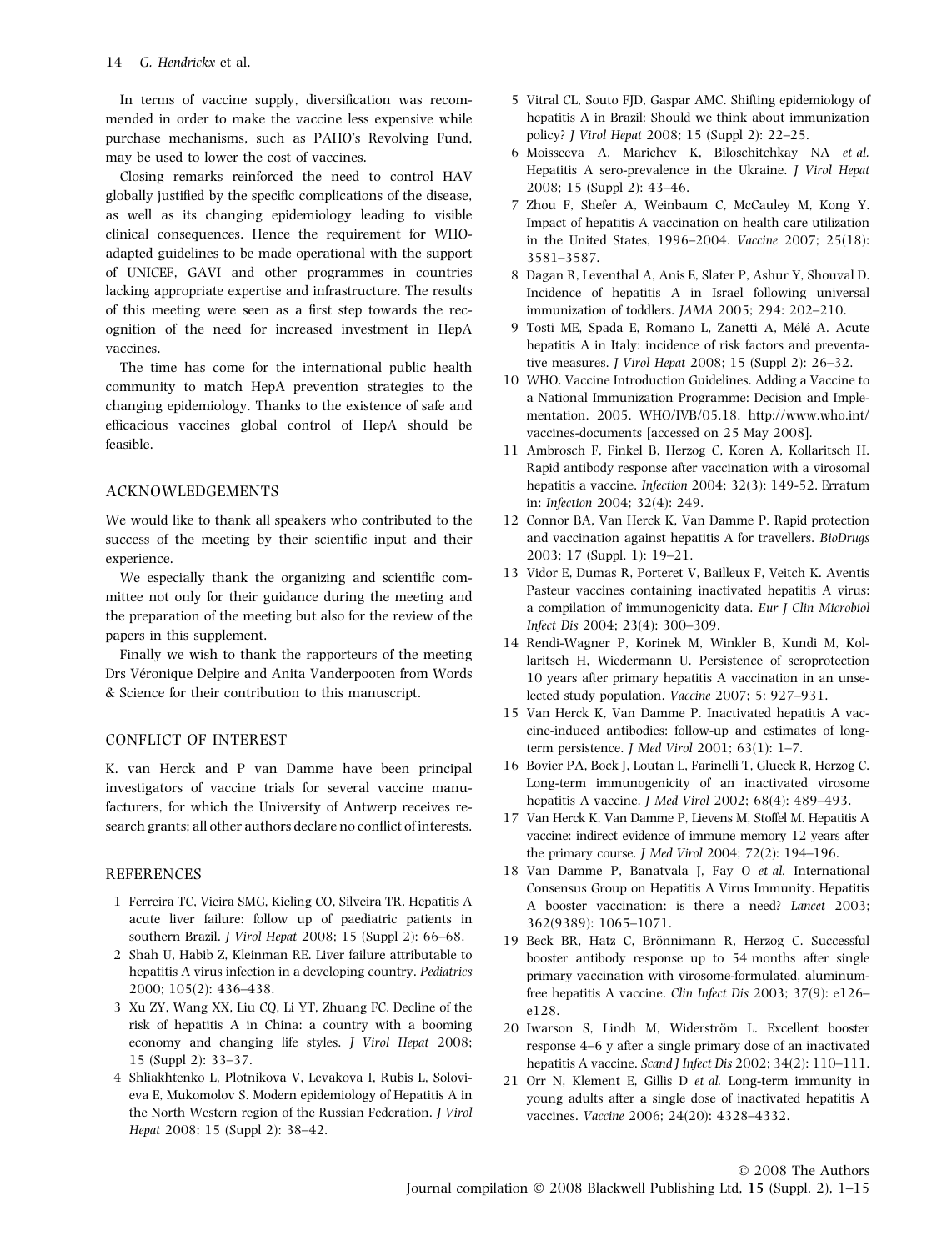In terms of vaccine supply, diversification was recommended in order to make the vaccine less expensive while purchase mechanisms, such as PAHO's Revolving Fund, may be used to lower the cost of vaccines.

Closing remarks reinforced the need to control HAV globally justified by the specific complications of the disease, as well as its changing epidemiology leading to visible clinical consequences. Hence the requirement for WHOadapted guidelines to be made operational with the support of UNICEF, GAVI and other programmes in countries lacking appropriate expertise and infrastructure. The results of this meeting were seen as a first step towards the recognition of the need for increased investment in HepA vaccines.

The time has come for the international public health community to match HepA prevention strategies to the changing epidemiology. Thanks to the existence of safe and efficacious vaccines global control of HepA should be feasible.

#### ACKNOWLEDGEMENTS

We would like to thank all speakers who contributed to the success of the meeting by their scientific input and their experience.

We especially thank the organizing and scientific committee not only for their guidance during the meeting and the preparation of the meeting but also for the review of the papers in this supplement.

Finally we wish to thank the rapporteurs of the meeting Drs Véronique Delpire and Anita Vanderpooten from Words & Science for their contribution to this manuscript.

# CONFLICT OF INTEREST

K. van Herck and P van Damme have been principal investigators of vaccine trials for several vaccine manufacturers, for which the University of Antwerp receives research grants; all other authors declare no conflict of interests.

#### REFERENCES

- 1 Ferreira TC, Vieira SMG, Kieling CO, Silveira TR. Hepatitis A acute liver failure: follow up of paediatric patients in southern Brazil. J Virol Hepat 2008; 15 (Suppl 2): 66–68.
- 2 Shah U, Habib Z, Kleinman RE. Liver failure attributable to hepatitis A virus infection in a developing country. Pediatrics 2000; 105(2): 436–438.
- 3 Xu ZY, Wang XX, Liu CQ, Li YT, Zhuang FC. Decline of the risk of hepatitis A in China: a country with a booming economy and changing life styles. J Virol Hepat 2008; 15 (Suppl 2): 33–37.
- 4 Shliakhtenko L, Plotnikova V, Levakova I, Rubis L, Solovieva E, Mukomolov S. Modern epidemiology of Hepatitis A in the North Western region of the Russian Federation. J Virol Hepat 2008; 15 (Suppl 2): 38–42.
- 5 Vitral CL, Souto FJD, Gaspar AMC. Shifting epidemiology of hepatitis A in Brazil: Should we think about immunization policy? J Virol Hepat 2008; 15 (Suppl 2): 22–25.
- 6 Moisseeva A, Marichev K, Biloschitchkay NA et al. Hepatitis A sero-prevalence in the Ukraine. J Virol Hepat 2008; 15 (Suppl 2): 43–46.
- 7 Zhou F, Shefer A, Weinbaum C, McCauley M, Kong Y. Impact of hepatitis A vaccination on health care utilization in the United States, 1996–2004. Vaccine 2007; 25(18): 3581–3587.
- 8 Dagan R, Leventhal A, Anis E, Slater P, Ashur Y, Shouval D. Incidence of hepatitis A in Israel following universal immunization of toddlers. JAMA 2005; 294: 202–210.
- 9 Tosti ME, Spada E, Romano L, Zanetti A, Mélé A. Acute hepatitis A in Italy: incidence of risk factors and preventative measures. J Virol Hepat 2008; 15 (Suppl 2): 26–32.
- 10 WHO. Vaccine Introduction Guidelines. Adding a Vaccine to a National Immunization Programme: Decision and Implementation. 2005. WHO/IVB/05.18. http://www.who.int/ vaccines-documents [accessed on 25 May 2008].
- 11 Ambrosch F, Finkel B, Herzog C, Koren A, Kollaritsch H. Rapid antibody response after vaccination with a virosomal hepatitis a vaccine. Infection 2004; 32(3): 149-52. Erratum in: Infection 2004; 32(4): 249.
- 12 Connor BA, Van Herck K, Van Damme P. Rapid protection and vaccination against hepatitis A for travellers. BioDrugs 2003; 17 (Suppl. 1): 19–21.
- 13 Vidor E, Dumas R, Porteret V, Bailleux F, Veitch K. Aventis Pasteur vaccines containing inactivated hepatitis A virus: a compilation of immunogenicity data. Eur J Clin Microbiol Infect Dis 2004; 23(4): 300–309.
- 14 Rendi-Wagner P, Korinek M, Winkler B, Kundi M, Kollaritsch H, Wiedermann U. Persistence of seroprotection 10 years after primary hepatitis A vaccination in an unselected study population. Vaccine 2007; 5: 927–931.
- 15 Van Herck K, Van Damme P. Inactivated hepatitis A vaccine-induced antibodies: follow-up and estimates of longterm persistence. J Med Virol 2001; 63(1): 1–7.
- 16 Bovier PA, Bock J, Loutan L, Farinelli T, Glueck R, Herzog C. Long-term immunogenicity of an inactivated virosome hepatitis A vaccine. J Med Virol 2002; 68(4): 489–493.
- 17 Van Herck K, Van Damme P, Lievens M, Stoffel M. Hepatitis A vaccine: indirect evidence of immune memory 12 years after the primary course. J Med Virol 2004; 72(2): 194–196.
- 18 Van Damme P, Banatvala J, Fay O et al. International Consensus Group on Hepatitis A Virus Immunity. Hepatitis A booster vaccination: is there a need? Lancet 2003; 362(9389): 1065–1071.
- 19 Beck BR, Hatz C, Brönnimann R, Herzog C. Successful booster antibody response up to 54 months after single primary vaccination with virosome-formulated, aluminumfree hepatitis A vaccine. Clin Infect Dis 2003; 37(9): e126– e128.
- 20 Iwarson S, Lindh M, Widerström L. Excellent booster response 4–6 y after a single primary dose of an inactivated hepatitis A vaccine. Scand *J Infect Dis* 2002; 34(2): 110–111.
- 21 Orr N, Klement E, Gillis D et al. Long-term immunity in young adults after a single dose of inactivated hepatitis A vaccines. Vaccine 2006; 24(20): 4328–4332.